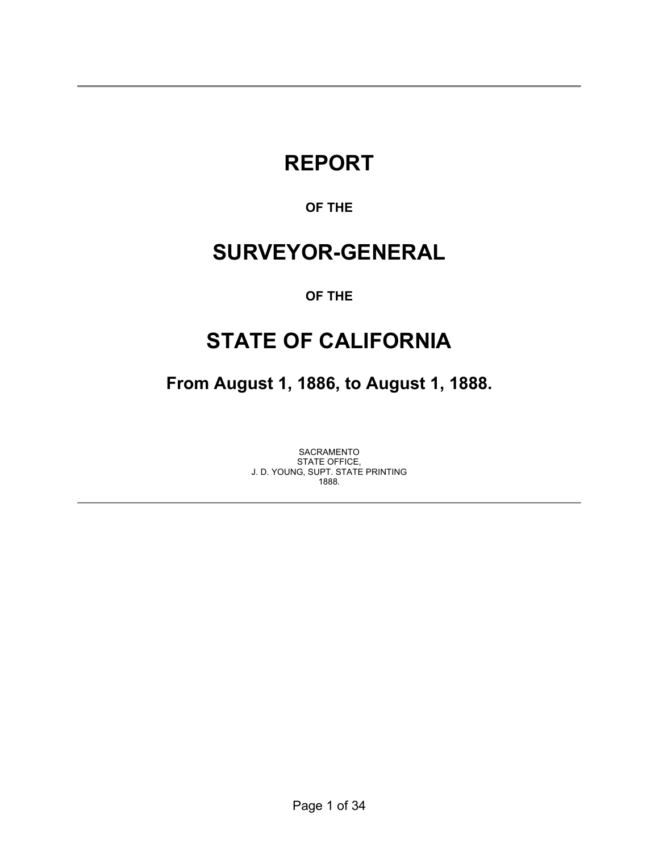# **REPORT**

### **OF THE**

## **SURVEYOR-GENERAL**

#### **OF THE**

## **STATE OF CALIFORNIA**

**From August 1, 1886, to August 1, 1888.** 

SACRAMENTO STATE OFFICE, J. D. YOUNG, SUPT. STATE PRINTING 1888.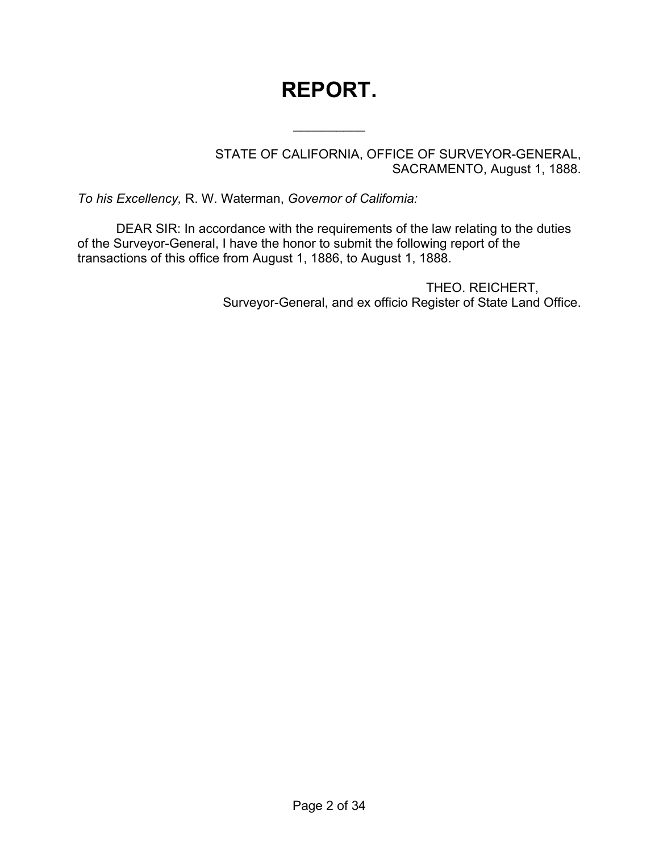# **REPORT.**

 $\frac{1}{2}$ 

STATE OF CALIFORNIA, OFFICE OF SURVEYOR-GENERAL, SACRAMENTO, August 1, 1888.

*To his Excellency,* R. W. Waterman, *Governor of California:*

DEAR SIR: In accordance with the requirements of the law relating to the duties of the Surveyor-General, I have the honor to submit the following report of the transactions of this office from August 1, 1886, to August 1, 1888.

> THEO. REICHERT, Surveyor-General, and ex officio Register of State Land Office.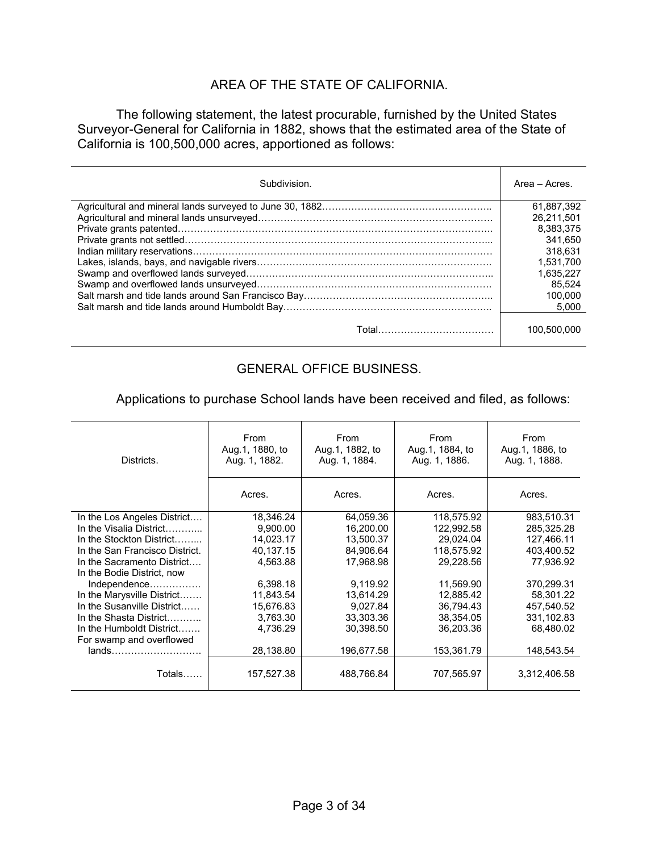#### AREA OF THE STATE OF CALIFORNIA.

 The following statement, the latest procurable, furnished by the United States Surveyor-General for California in 1882, shows that the estimated area of the State of California is 100,500,000 acres, apportioned as follows:

| Subdivision. | Area – Acres. |
|--------------|---------------|
|              | 61.887.392    |
|              | 26.211.501    |
|              | 8.383.375     |
|              | 341.650       |
|              | 318.631       |
|              | 1,531,700     |
|              | 1.635.227     |
|              | 85.524        |
|              | 100.000       |
|              | 5.000         |
|              | 100.500.000   |

#### GENERAL OFFICE BUSINESS.

Applications to purchase School lands have been received and filed, as follows:

| Districts.                     | From<br>Aug.1, 1880, to<br>Aug. 1, 1882. | From<br>Aug.1, 1882, to<br>Aug. 1, 1884. | From<br>Aug.1, 1884, to<br>Aug. 1, 1886. | From<br>Aug.1, 1886, to<br>Aug. 1, 1888. |
|--------------------------------|------------------------------------------|------------------------------------------|------------------------------------------|------------------------------------------|
|                                | Acres.                                   | Acres.                                   | Acres.                                   | Acres.                                   |
| In the Los Angeles District    | 18,346.24                                | 64,059.36                                | 118,575.92                               | 983,510.31                               |
| In the Visalia District        | 9,900.00                                 | 16,200.00                                | 122,992.58                               | 285,325.28                               |
| In the Stockton District       | 14,023.17                                | 13,500.37                                | 29,024.04                                | 127,466.11                               |
| In the San Francisco District. | 40,137.15                                | 84,906.64                                | 118,575.92                               | 403,400.52                               |
| In the Sacramento District     | 4,563.88                                 | 17,968.98                                | 29,228.56                                | 77,936.92                                |
| In the Bodie District, now     |                                          |                                          |                                          |                                          |
| Independence                   | 6,398.18                                 | 9,119.92                                 | 11,569.90                                | 370,299.31                               |
| In the Marysville District     | 11,843.54                                | 13,614.29                                | 12,885.42                                | 58,301.22                                |
| In the Susanville District     | 15,676.83                                | 9.027.84                                 | 36.794.43                                | 457.540.52                               |
| In the Shasta District         | 3,763.30                                 | 33,303.36                                | 38,354.05                                | 331,102.83                               |
| In the Humboldt District       | 4,736.29                                 | 30,398.50                                | 36,203.36                                | 68,480.02                                |
| For swamp and overflowed       |                                          |                                          |                                          |                                          |
|                                | 28,138.80                                | 196,677.58                               | 153,361.79                               | 148,543.54                               |
| Totals                         | 157,527.38                               | 488,766.84                               | 707,565.97                               | 3,312,406.58                             |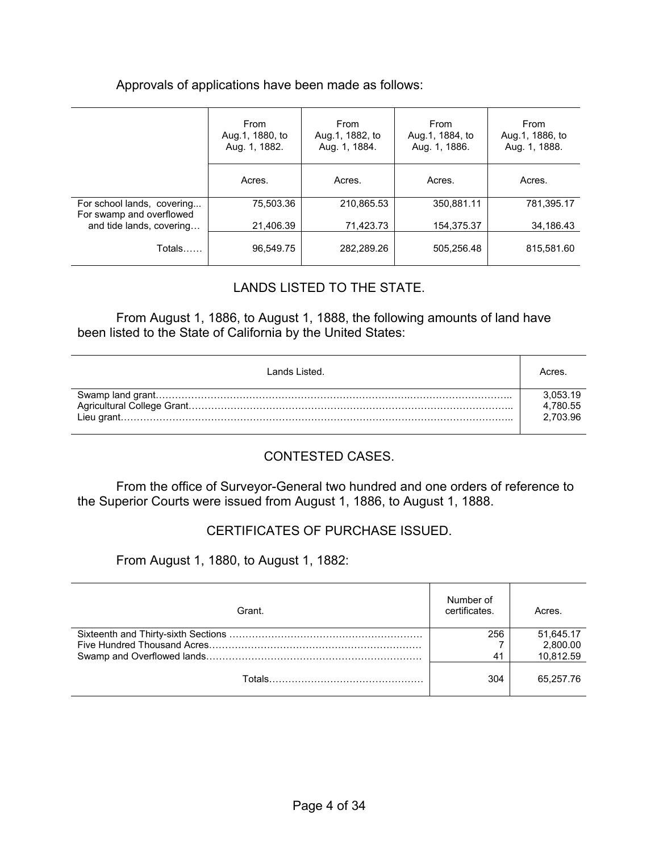#### Approvals of applications have been made as follows:

|                                                        | From<br>Aug.1, 1880, to<br>Aug. 1, 1882. | From<br>Aug.1, 1882, to<br>Aug. 1, 1884. | From<br>Aug.1, 1884, to<br>Aug. 1, 1886. | From<br>Aug.1, 1886, to<br>Aug. 1, 1888. |
|--------------------------------------------------------|------------------------------------------|------------------------------------------|------------------------------------------|------------------------------------------|
|                                                        | Acres.                                   | Acres.                                   | Acres.                                   | Acres.                                   |
| For school lands, covering<br>For swamp and overflowed | 75,503.36                                | 210,865.53                               | 350,881.11                               | 781,395.17                               |
| and tide lands, covering                               | 21,406.39                                | 71,423.73                                | 154,375.37                               | 34,186.43                                |
| Totals                                                 | 96,549.75                                | 282,289.26                               | 505,256.48                               | 815,581.60                               |

#### LANDS LISTED TO THE STATE.

From August 1, 1886, to August 1, 1888, the following amounts of land have been listed to the State of California by the United States:

| Lands Listed. | Acres    |
|---------------|----------|
|               | 3,053.19 |
|               | 4.780.55 |
|               | 2.703.96 |
|               |          |

#### CONTESTED CASES.

 From the office of Surveyor-General two hundred and one orders of reference to the Superior Courts were issued from August 1, 1886, to August 1, 1888.

#### CERTIFICATES OF PURCHASE ISSUED.

From August 1, 1880, to August 1, 1882:

| Grant. | Number of<br>certificates. | Acres.    |
|--------|----------------------------|-----------|
|        | 256                        | 51.645.17 |
|        |                            | 2,800.00  |
|        | 41                         | 10,812.59 |
|        | 304                        | 65.257.76 |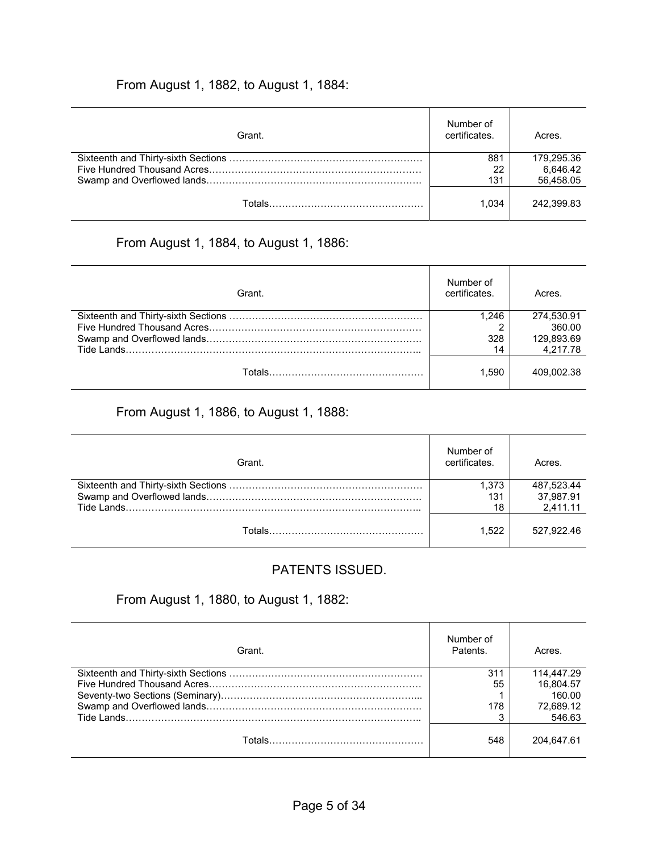#### From August 1, 1882, to August 1, 1884:

| Grant. | Number of<br>certificates. | Acres.     |
|--------|----------------------------|------------|
|        | 881                        | 179.295.36 |
|        | 22                         | 6.646.42   |
|        | 131                        | 56,458.05  |
|        | 1.034                      | 242.399.83 |

### From August 1, 1884, to August 1, 1886:

| Grant. | Number of<br>certificates. | Acres.     |
|--------|----------------------------|------------|
|        | 1.246                      | 274,530.91 |
|        |                            | 360.00     |
|        | 328                        | 129,893.69 |
|        | 14                         | 4.217.78   |
|        | 1.590                      | 409.002.38 |

## From August 1, 1886, to August 1, 1888:

| Grant. | Number of<br>certificates. | Acres.                              |
|--------|----------------------------|-------------------------------------|
|        | 1.373<br>131<br>18         | 487,523.44<br>37,987.91<br>2,411.11 |
| Totals | 1.522                      | 527.922.46                          |

#### PATENTS ISSUED.

## From August 1, 1880, to August 1, 1882:

| Grant. | Number of<br>Patents. | Acres.     |
|--------|-----------------------|------------|
|        | 31                    | 114,447.29 |
|        | 55                    | 16.804.57  |
|        |                       | 160.00     |
|        | 178                   | 72,689.12  |
|        |                       | 546.63     |
|        | 548                   | 204.647.61 |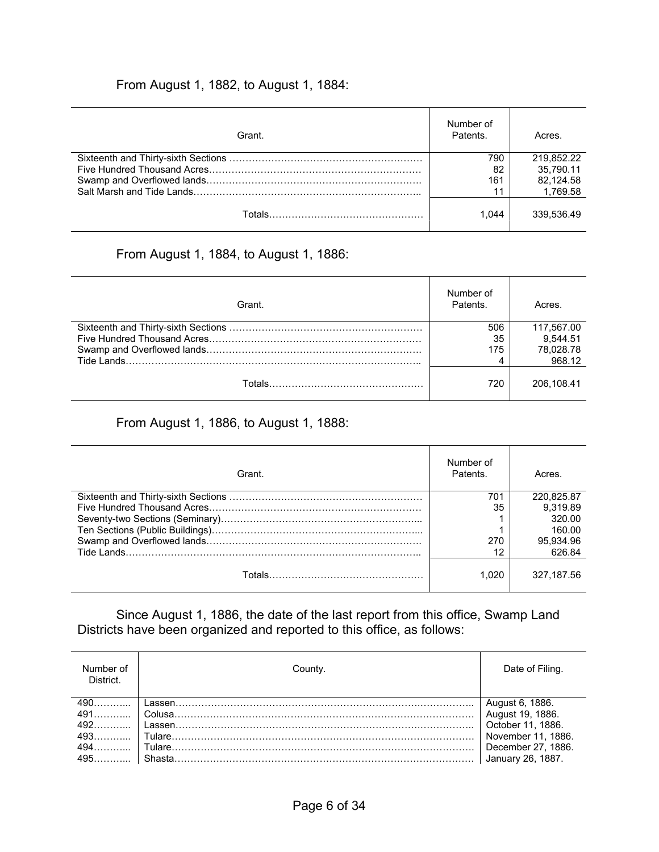#### From August 1, 1882, to August 1, 1884:

| Grant. | Number of<br>Patents. | Acres.     |
|--------|-----------------------|------------|
|        | 790                   | 219.852.22 |
|        | 82                    | 35.790.11  |
|        | 161                   | 82.124.58  |
|        | 11                    | 1,769.58   |
|        | 1.044                 | 339.536.49 |

## From August 1, 1884, to August 1, 1886:

| Grant. | Number of<br>Patents. | Acres.     |
|--------|-----------------------|------------|
|        | 506                   | 117,567.00 |
|        | 35                    | 9.544.51   |
|        | 175                   | 78.028.78  |
|        |                       | 968.12     |
|        | 720                   | 206.108.41 |

#### From August 1, 1886, to August 1, 1888:

| Grant. | Number of<br>Patents. | Acres.     |
|--------|-----------------------|------------|
|        | 701                   | 220.825.87 |
|        | 35                    | 9.319.89   |
|        |                       | 320.00     |
|        |                       | 160.00     |
|        | 270                   | 95,934.96  |
|        | 12                    | 626.84     |
|        | 1.020                 | 327.187.56 |

 Since August 1, 1886, the date of the last report from this office, Swamp Land Districts have been organized and reported to this office, as follows:

| Number of<br>District. | Countv. | Date of Filing.                     |
|------------------------|---------|-------------------------------------|
| 490                    |         | August 6, 1886.<br>August 19, 1886. |
|                        |         |                                     |
|                        |         | October 11, 1886.                   |
|                        |         | November 11, 1886.                  |
|                        |         | December 27, 1886.                  |
|                        |         | January 26, 1887.                   |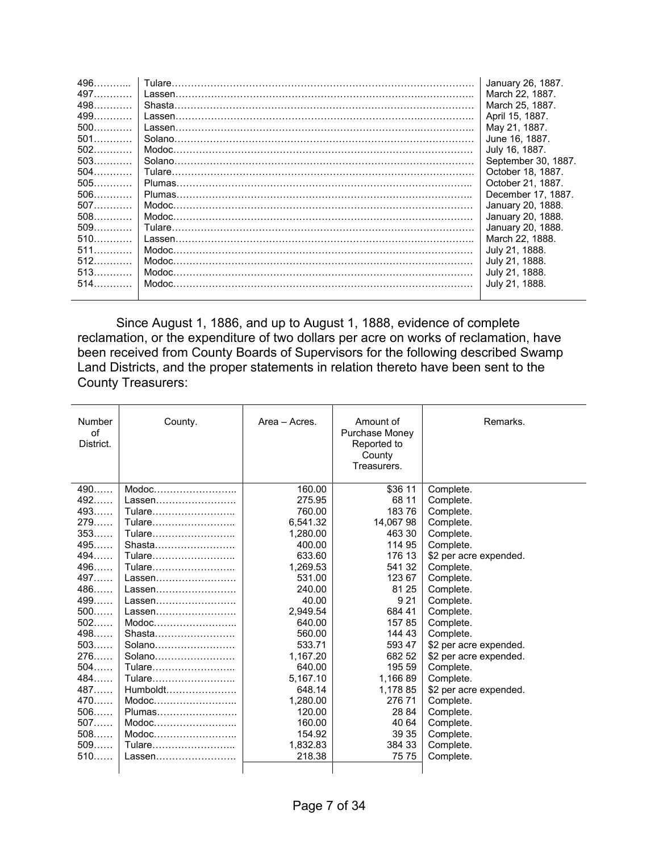| 496   |        | January 26, 1887.   |
|-------|--------|---------------------|
| 497   |        | March 22, 1887.     |
| 498   |        | March 25, 1887.     |
| 499   |        | April 15, 1887.     |
| $500$ |        | May 21, 1887.       |
| $501$ |        | June 16, 1887.      |
| $502$ |        | July 16, 1887.      |
| $503$ |        | September 30, 1887. |
| $504$ |        | October 18, 1887.   |
| $505$ |        | October 21, 1887.   |
| $506$ |        | December 17, 1887.  |
| $507$ |        | January 20, 1888.   |
| $508$ |        | January 20, 1888.   |
| $509$ |        | January 20, 1888.   |
|       |        | March 22, 1888.     |
| $511$ |        | July 21, 1888.      |
| $512$ | Modoc. | July 21, 1888.      |
| $513$ |        | July 21, 1888.      |
|       | Modoc. | July 21, 1888.      |
|       |        |                     |

 Since August 1, 1886, and up to August 1, 1888, evidence of complete reclamation, or the expenditure of two dollars per acre on works of reclamation, have been received from County Boards of Supervisors for the following described Swamp Land Districts, and the proper statements in relation thereto have been sent to the County Treasurers:

| Number<br>of<br>District. | County.                                                   | Area - Acres. | Amount of<br>Purchase Money<br>Reported to<br>County<br>Treasurers. | Remarks.               |
|---------------------------|-----------------------------------------------------------|---------------|---------------------------------------------------------------------|------------------------|
| 490                       | Modoc                                                     | 160.00        | \$36 11                                                             | Complete.              |
| 492                       | Lassen                                                    | 275.95        | 68 11                                                               | Complete.              |
| 493                       | Tulare                                                    | 760.00        | 18376                                                               | Complete.              |
| 279                       | Tulare                                                    | 6.541.32      | 14,067 98                                                           | Complete.              |
| 353                       | Tulare                                                    | 1,280.00      | 463 30                                                              | Complete.              |
| 495                       | Shasta                                                    | 400.00        | 114 95                                                              | Complete.              |
| 494                       | Tulare                                                    | 633.60        | 176 13                                                              | \$2 per acre expended. |
| 496                       | Tulare                                                    | 1,269.53      | 541 32                                                              | Complete.              |
| 497                       | Lassen                                                    | 531.00        | 123 67                                                              | Complete.              |
| 486                       | Lassen                                                    | 240.00        | 81 25                                                               | Complete.              |
| 499                       |                                                           | 40.00         | 9 2 1                                                               | Complete.              |
| $500$                     | Lassen                                                    | 2.949.54      | 684 41                                                              | Complete.              |
| $502$                     | $\mathsf{Modoc}\dots \dots \dots \dots \dots \dots \dots$ | 640.00        | 15785                                                               | Complete.              |
| 498                       | Shasta                                                    | 560.00        | 144 43                                                              | Complete.              |
| 503                       | Solano                                                    | 533.71        | 593 47                                                              | \$2 per acre expended. |
| 276                       |                                                           | 1.167.20      | 682 52                                                              | \$2 per acre expended. |
| 504                       | Tulare                                                    | 640.00        | 195 59                                                              | Complete.              |
| 484                       | Tulare                                                    | 5,167.10      | 1,166 89                                                            | Complete.              |
| 487                       | Humboldt                                                  | 648.14        | 1,178 85                                                            | \$2 per acre expended. |
| 470                       | $\mathsf{Modoc}\dots \dots \dots \dots \dots \dots \dots$ | 1,280.00      | 276 71                                                              | Complete.              |
| $506$                     | Plumas                                                    | 120.00        | 28 84                                                               | Complete.              |
| $507$                     |                                                           | 160.00        | 40 64                                                               | Complete.              |
| $508$                     |                                                           | 154.92        | 39 35                                                               | Complete.              |
| $509$                     | Tulare                                                    | 1,832.83      | 384 33                                                              | Complete.              |
| 510                       | Lassen                                                    | 218.38        | 75 75                                                               | Complete.              |
|                           |                                                           |               |                                                                     |                        |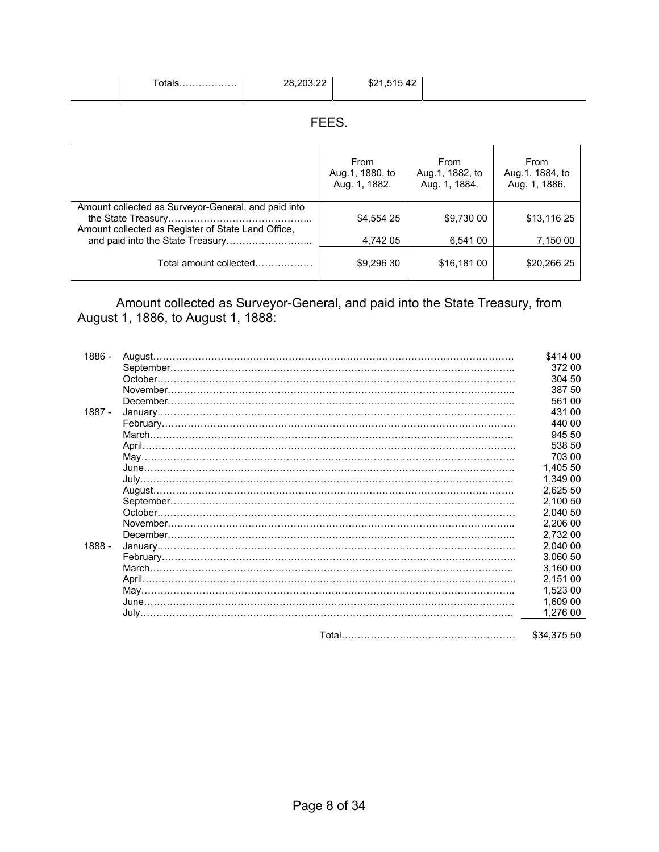| $\tau$ otals. | 28,203.22 | \$21,51542 |
|---------------|-----------|------------|
|               |           |            |

#### FEES.

|                                                                                                           | From<br>Aug.1, 1880, to<br>Aug. 1, 1882. | From<br>Aug.1, 1882, to<br>Aug. 1, 1884. | From<br>Aug.1, 1884, to<br>Aug. 1, 1886. |
|-----------------------------------------------------------------------------------------------------------|------------------------------------------|------------------------------------------|------------------------------------------|
| Amount collected as Surveyor-General, and paid into<br>Amount collected as Register of State Land Office, | \$4,554 25                               | \$9,730 00                               | \$13,116 25                              |
|                                                                                                           | 4,742 05                                 | 6,541 00                                 | 7,150 00                                 |
| Total amount collected                                                                                    | \$9,296 30                               | \$16,181 00                              | \$20.266 25                              |

 Amount collected as Surveyor-General, and paid into the State Treasury, from August 1, 1886, to August 1, 1888:

| 1886 - |          | \$414 00    |
|--------|----------|-------------|
|        |          | 372 00      |
|        |          | 304 50      |
|        |          | 387 50      |
|        |          | 561 00      |
| 1887 - |          | 431 00      |
|        |          | 440.00      |
|        |          | 945 50      |
|        |          | 538 50      |
|        |          | 703 00      |
|        |          | 1.405 50    |
|        |          | 1,349 00    |
|        |          | 2,625 50    |
|        |          | 2,100 50    |
|        | October. | 2.040 50    |
|        |          | 2,206 00    |
|        |          | 2,732 00    |
| 1888 - |          | 2.040 00    |
|        |          | 3,060 50    |
|        |          | 3,160 00    |
|        |          | 2,151 00    |
|        |          | 1,523 00    |
|        |          | 1,609 00    |
|        |          | 1,276 00    |
|        |          |             |
|        |          | \$34,375 50 |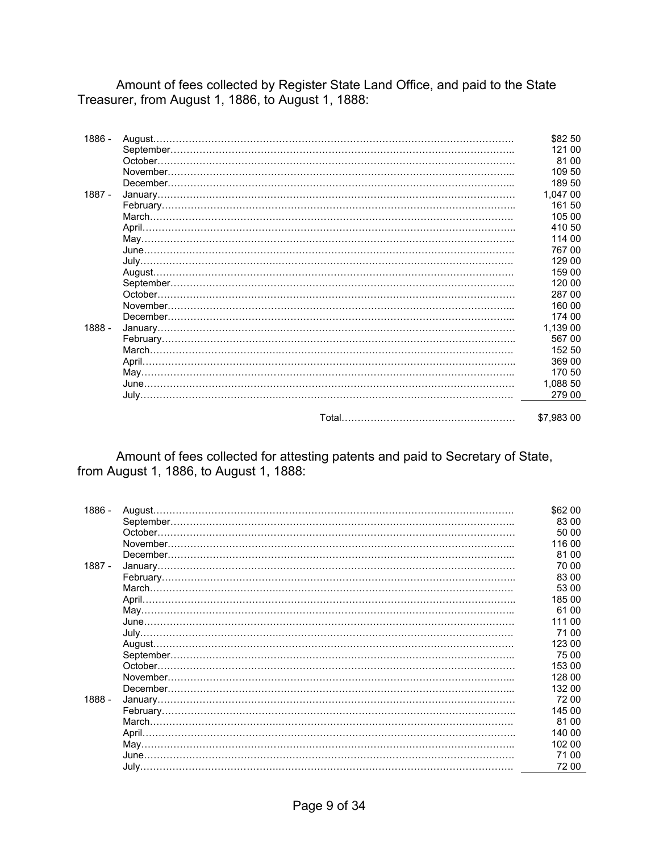Amount of fees collected by Register State Land Office, and paid to the State Treasurer, from August 1, 1886, to August 1, 1888:

| 1886 - | August | \$82 50    |
|--------|--------|------------|
|        |        | 121 00     |
|        |        | 81 00      |
|        |        | 109 50     |
|        |        | 189 50     |
| 1887 - |        | 1,047 00   |
|        |        | 161 50     |
|        |        | 105 00     |
|        |        | 410 50     |
|        |        | 114 00     |
|        |        | 767 00     |
|        |        | 129 00     |
|        |        | 159 00     |
|        |        | 120 00     |
|        |        | 287 00     |
|        |        | 160 00     |
|        |        | 174 00     |
| 1888 - |        | 1,139 00   |
|        |        | 567 00     |
|        |        | 152 50     |
|        |        | 369 00     |
|        |        | 170 50     |
|        |        | 1,088 50   |
|        |        | 279 00     |
|        |        |            |
|        |        | \$7,983 00 |

Amount of fees collected for attesting patents and paid to Secretary of State, from August 1, 1886, to August 1, 1888:

| 1886 - | August | \$62 00 |
|--------|--------|---------|
|        |        | 83 00   |
|        |        | 50 00   |
|        |        | 116 00  |
|        |        | 81 00   |
| 1887 - |        | 70 00   |
|        |        | 83 00   |
|        |        | 53 00   |
|        |        | 185 00  |
|        |        | 61 00   |
|        |        | 111 00  |
|        |        | 71 00   |
|        |        | 123 00  |
|        |        | 75 00   |
|        |        | 153 00  |
|        |        | 128 00  |
|        |        | 132 00  |
| 1888 - |        | 72 00   |
|        |        | 145 00  |
|        |        | 81 00   |
|        |        | 140 00  |
|        |        | 102 00  |
|        |        | 71 00   |
|        |        | 72 00   |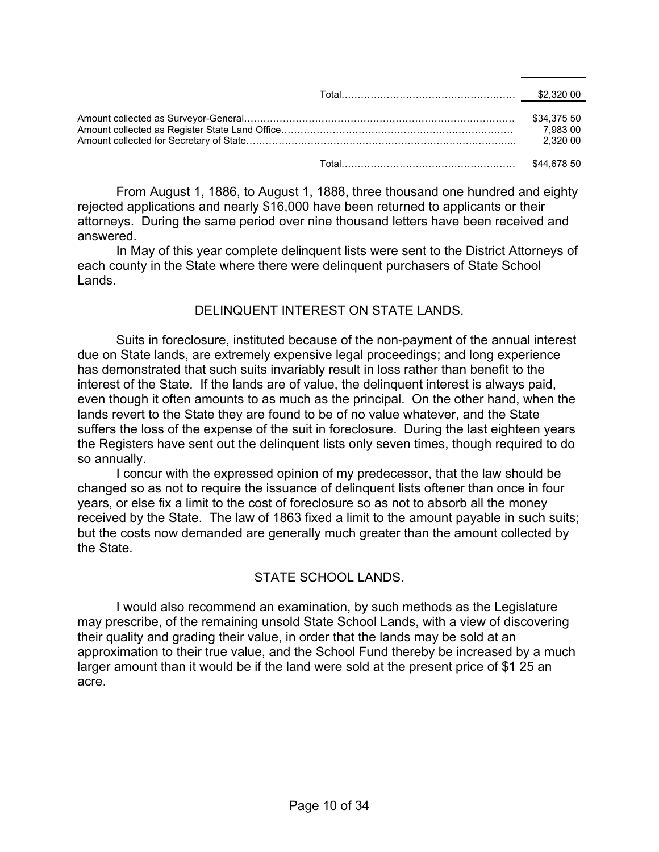|  | \$34,375 50<br>7,983 00 |
|--|-------------------------|
|  |                         |

 From August 1, 1886, to August 1, 1888, three thousand one hundred and eighty rejected applications and nearly \$16,000 have been returned to applicants or their attorneys. During the same period over nine thousand letters have been received and answered.

 In May of this year complete delinquent lists were sent to the District Attorneys of each county in the State where there were delinquent purchasers of State School Lands.

#### DELINQUENT INTEREST ON STATE LANDS.

 Suits in foreclosure, instituted because of the non-payment of the annual interest due on State lands, are extremely expensive legal proceedings; and long experience has demonstrated that such suits invariably result in loss rather than benefit to the interest of the State. If the lands are of value, the delinquent interest is always paid, even though it often amounts to as much as the principal. On the other hand, when the lands revert to the State they are found to be of no value whatever, and the State suffers the loss of the expense of the suit in foreclosure. During the last eighteen years the Registers have sent out the delinquent lists only seven times, though required to do so annually.

 I concur with the expressed opinion of my predecessor, that the law should be changed so as not to require the issuance of delinquent lists oftener than once in four years, or else fix a limit to the cost of foreclosure so as not to absorb all the money received by the State. The law of 1863 fixed a limit to the amount payable in such suits; but the costs now demanded are generally much greater than the amount collected by the State.

#### STATE SCHOOL LANDS

 I would also recommend an examination, by such methods as the Legislature may prescribe, of the remaining unsold State School Lands, with a view of discovering their quality and grading their value, in order that the lands may be sold at an approximation to their true value, and the School Fund thereby be increased by a much larger amount than it would be if the land were sold at the present price of \$1 25 an acre.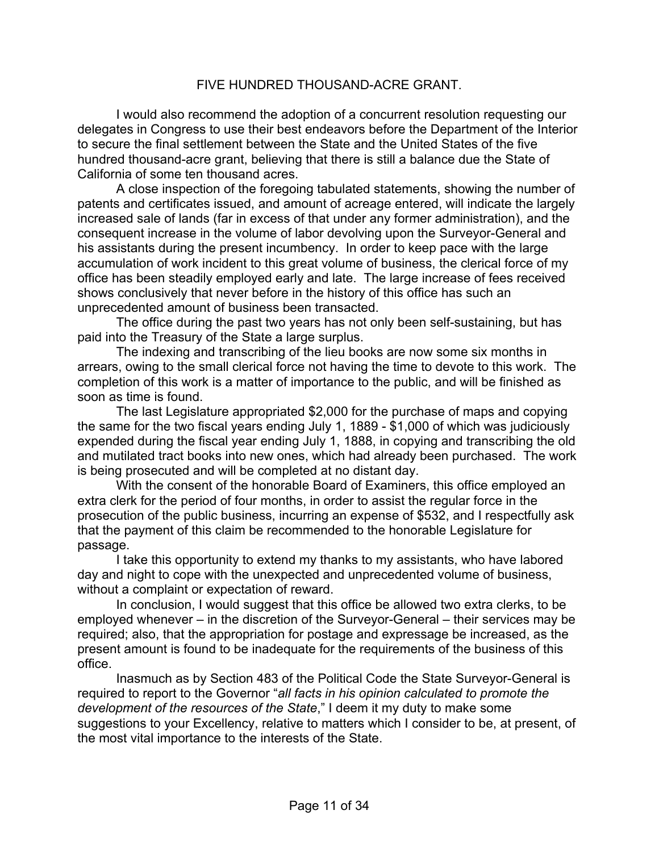#### FIVE HUNDRED THOUSAND-ACRE GRANT.

 I would also recommend the adoption of a concurrent resolution requesting our delegates in Congress to use their best endeavors before the Department of the Interior to secure the final settlement between the State and the United States of the five hundred thousand-acre grant, believing that there is still a balance due the State of California of some ten thousand acres.

 A close inspection of the foregoing tabulated statements, showing the number of patents and certificates issued, and amount of acreage entered, will indicate the largely increased sale of lands (far in excess of that under any former administration), and the consequent increase in the volume of labor devolving upon the Surveyor-General and his assistants during the present incumbency. In order to keep pace with the large accumulation of work incident to this great volume of business, the clerical force of my office has been steadily employed early and late. The large increase of fees received shows conclusively that never before in the history of this office has such an unprecedented amount of business been transacted.

 The office during the past two years has not only been self-sustaining, but has paid into the Treasury of the State a large surplus.

 The indexing and transcribing of the lieu books are now some six months in arrears, owing to the small clerical force not having the time to devote to this work. The completion of this work is a matter of importance to the public, and will be finished as soon as time is found.

 The last Legislature appropriated \$2,000 for the purchase of maps and copying the same for the two fiscal years ending July 1, 1889 - \$1,000 of which was judiciously expended during the fiscal year ending July 1, 1888, in copying and transcribing the old and mutilated tract books into new ones, which had already been purchased. The work is being prosecuted and will be completed at no distant day.

 With the consent of the honorable Board of Examiners, this office employed an extra clerk for the period of four months, in order to assist the regular force in the prosecution of the public business, incurring an expense of \$532, and I respectfully ask that the payment of this claim be recommended to the honorable Legislature for passage.

 I take this opportunity to extend my thanks to my assistants, who have labored day and night to cope with the unexpected and unprecedented volume of business, without a complaint or expectation of reward.

 In conclusion, I would suggest that this office be allowed two extra clerks, to be employed whenever – in the discretion of the Surveyor-General – their services may be required; also, that the appropriation for postage and expressage be increased, as the present amount is found to be inadequate for the requirements of the business of this office.

 Inasmuch as by Section 483 of the Political Code the State Surveyor-General is required to report to the Governor "*all facts in his opinion calculated to promote the development of the resources of the State*," I deem it my duty to make some suggestions to your Excellency, relative to matters which I consider to be, at present, of the most vital importance to the interests of the State.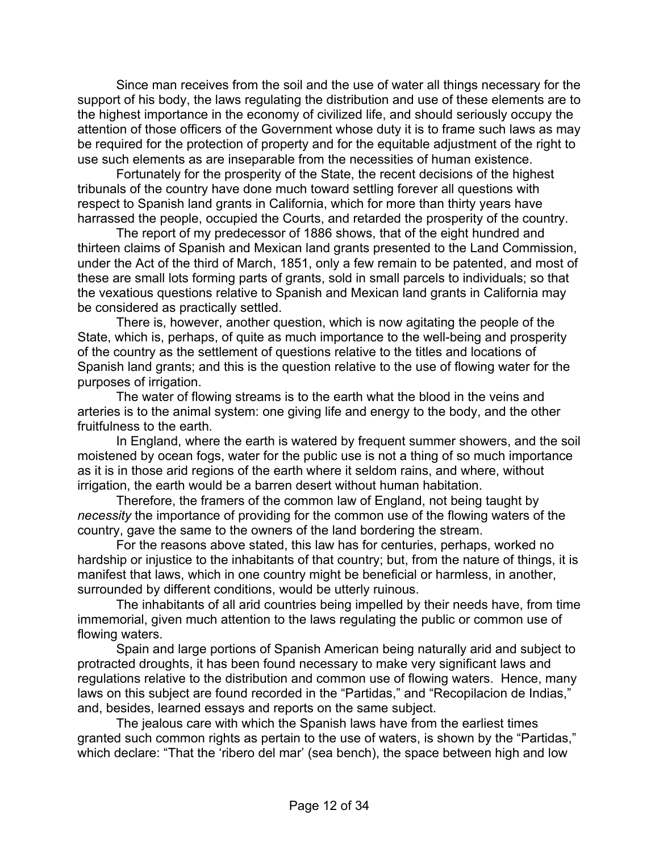Since man receives from the soil and the use of water all things necessary for the support of his body, the laws regulating the distribution and use of these elements are to the highest importance in the economy of civilized life, and should seriously occupy the attention of those officers of the Government whose duty it is to frame such laws as may be required for the protection of property and for the equitable adjustment of the right to use such elements as are inseparable from the necessities of human existence.

 Fortunately for the prosperity of the State, the recent decisions of the highest tribunals of the country have done much toward settling forever all questions with respect to Spanish land grants in California, which for more than thirty years have harrassed the people, occupied the Courts, and retarded the prosperity of the country.

 The report of my predecessor of 1886 shows, that of the eight hundred and thirteen claims of Spanish and Mexican land grants presented to the Land Commission, under the Act of the third of March, 1851, only a few remain to be patented, and most of these are small lots forming parts of grants, sold in small parcels to individuals; so that the vexatious questions relative to Spanish and Mexican land grants in California may be considered as practically settled.

 There is, however, another question, which is now agitating the people of the State, which is, perhaps, of quite as much importance to the well-being and prosperity of the country as the settlement of questions relative to the titles and locations of Spanish land grants; and this is the question relative to the use of flowing water for the purposes of irrigation.

 The water of flowing streams is to the earth what the blood in the veins and arteries is to the animal system: one giving life and energy to the body, and the other fruitfulness to the earth.

 In England, where the earth is watered by frequent summer showers, and the soil moistened by ocean fogs, water for the public use is not a thing of so much importance as it is in those arid regions of the earth where it seldom rains, and where, without irrigation, the earth would be a barren desert without human habitation.

 Therefore, the framers of the common law of England, not being taught by *necessity* the importance of providing for the common use of the flowing waters of the country, gave the same to the owners of the land bordering the stream.

 For the reasons above stated, this law has for centuries, perhaps, worked no hardship or injustice to the inhabitants of that country; but, from the nature of things, it is manifest that laws, which in one country might be beneficial or harmless, in another, surrounded by different conditions, would be utterly ruinous.

 The inhabitants of all arid countries being impelled by their needs have, from time immemorial, given much attention to the laws regulating the public or common use of flowing waters.

 Spain and large portions of Spanish American being naturally arid and subject to protracted droughts, it has been found necessary to make very significant laws and regulations relative to the distribution and common use of flowing waters. Hence, many laws on this subject are found recorded in the "Partidas," and "Recopilacion de Indias," and, besides, learned essays and reports on the same subject.

 The jealous care with which the Spanish laws have from the earliest times granted such common rights as pertain to the use of waters, is shown by the "Partidas," which declare: "That the 'ribero del mar' (sea bench), the space between high and low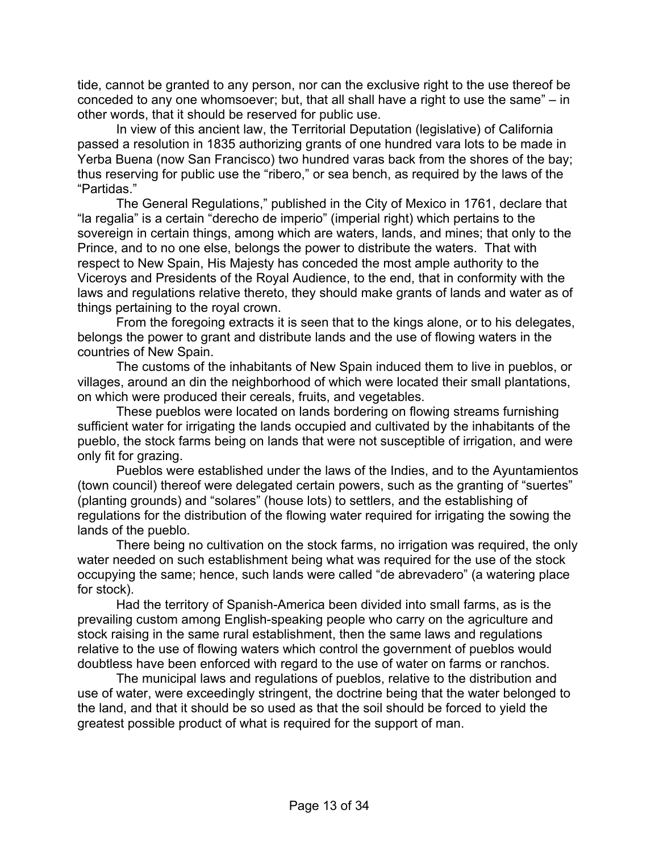tide, cannot be granted to any person, nor can the exclusive right to the use thereof be conceded to any one whomsoever; but, that all shall have a right to use the same" – in other words, that it should be reserved for public use.

 In view of this ancient law, the Territorial Deputation (legislative) of California passed a resolution in 1835 authorizing grants of one hundred vara lots to be made in Yerba Buena (now San Francisco) two hundred varas back from the shores of the bay; thus reserving for public use the "ribero," or sea bench, as required by the laws of the "Partidas."

 The General Regulations," published in the City of Mexico in 1761, declare that "la regalia" is a certain "derecho de imperio" (imperial right) which pertains to the sovereign in certain things, among which are waters, lands, and mines; that only to the Prince, and to no one else, belongs the power to distribute the waters. That with respect to New Spain, His Majesty has conceded the most ample authority to the Viceroys and Presidents of the Royal Audience, to the end, that in conformity with the laws and regulations relative thereto, they should make grants of lands and water as of things pertaining to the royal crown.

 From the foregoing extracts it is seen that to the kings alone, or to his delegates, belongs the power to grant and distribute lands and the use of flowing waters in the countries of New Spain.

 The customs of the inhabitants of New Spain induced them to live in pueblos, or villages, around an din the neighborhood of which were located their small plantations, on which were produced their cereals, fruits, and vegetables.

 These pueblos were located on lands bordering on flowing streams furnishing sufficient water for irrigating the lands occupied and cultivated by the inhabitants of the pueblo, the stock farms being on lands that were not susceptible of irrigation, and were only fit for grazing.

 Pueblos were established under the laws of the Indies, and to the Ayuntamientos (town council) thereof were delegated certain powers, such as the granting of "suertes" (planting grounds) and "solares" (house lots) to settlers, and the establishing of regulations for the distribution of the flowing water required for irrigating the sowing the lands of the pueblo.

 There being no cultivation on the stock farms, no irrigation was required, the only water needed on such establishment being what was required for the use of the stock occupying the same; hence, such lands were called "de abrevadero" (a watering place for stock).

 Had the territory of Spanish-America been divided into small farms, as is the prevailing custom among English-speaking people who carry on the agriculture and stock raising in the same rural establishment, then the same laws and regulations relative to the use of flowing waters which control the government of pueblos would doubtless have been enforced with regard to the use of water on farms or ranchos.

 The municipal laws and regulations of pueblos, relative to the distribution and use of water, were exceedingly stringent, the doctrine being that the water belonged to the land, and that it should be so used as that the soil should be forced to yield the greatest possible product of what is required for the support of man.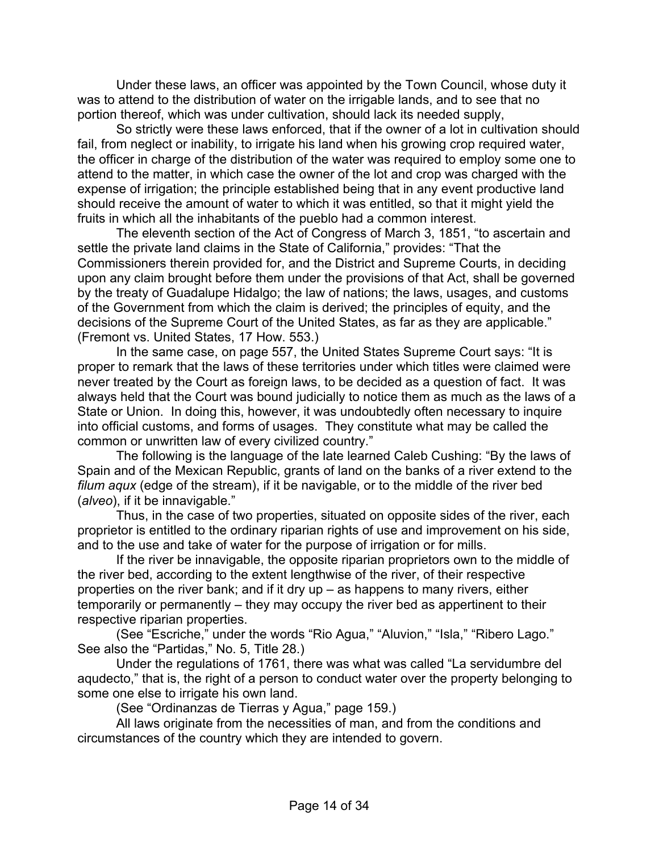Under these laws, an officer was appointed by the Town Council, whose duty it was to attend to the distribution of water on the irrigable lands, and to see that no portion thereof, which was under cultivation, should lack its needed supply,

 So strictly were these laws enforced, that if the owner of a lot in cultivation should fail, from neglect or inability, to irrigate his land when his growing crop required water, the officer in charge of the distribution of the water was required to employ some one to attend to the matter, in which case the owner of the lot and crop was charged with the expense of irrigation; the principle established being that in any event productive land should receive the amount of water to which it was entitled, so that it might yield the fruits in which all the inhabitants of the pueblo had a common interest.

 The eleventh section of the Act of Congress of March 3, 1851, "to ascertain and settle the private land claims in the State of California," provides: "That the Commissioners therein provided for, and the District and Supreme Courts, in deciding upon any claim brought before them under the provisions of that Act, shall be governed by the treaty of Guadalupe Hidalgo; the law of nations; the laws, usages, and customs of the Government from which the claim is derived; the principles of equity, and the decisions of the Supreme Court of the United States, as far as they are applicable." (Fremont vs. United States, 17 How. 553.)

 In the same case, on page 557, the United States Supreme Court says: "It is proper to remark that the laws of these territories under which titles were claimed were never treated by the Court as foreign laws, to be decided as a question of fact. It was always held that the Court was bound judicially to notice them as much as the laws of a State or Union. In doing this, however, it was undoubtedly often necessary to inquire into official customs, and forms of usages. They constitute what may be called the common or unwritten law of every civilized country."

 The following is the language of the late learned Caleb Cushing: "By the laws of Spain and of the Mexican Republic, grants of land on the banks of a river extend to the *filum aqux* (edge of the stream), if it be navigable, or to the middle of the river bed (*alveo*), if it be innavigable."

 Thus, in the case of two properties, situated on opposite sides of the river, each proprietor is entitled to the ordinary riparian rights of use and improvement on his side, and to the use and take of water for the purpose of irrigation or for mills.

 If the river be innavigable, the opposite riparian proprietors own to the middle of the river bed, according to the extent lengthwise of the river, of their respective properties on the river bank; and if it dry up – as happens to many rivers, either temporarily or permanently – they may occupy the river bed as appertinent to their respective riparian properties.

 (See "Escriche," under the words "Rio Agua," "Aluvion," "Isla," "Ribero Lago." See also the "Partidas," No. 5, Title 28.)

 Under the regulations of 1761, there was what was called "La servidumbre del aqudecto," that is, the right of a person to conduct water over the property belonging to some one else to irrigate his own land.

(See "Ordinanzas de Tierras y Agua," page 159.)

 All laws originate from the necessities of man, and from the conditions and circumstances of the country which they are intended to govern.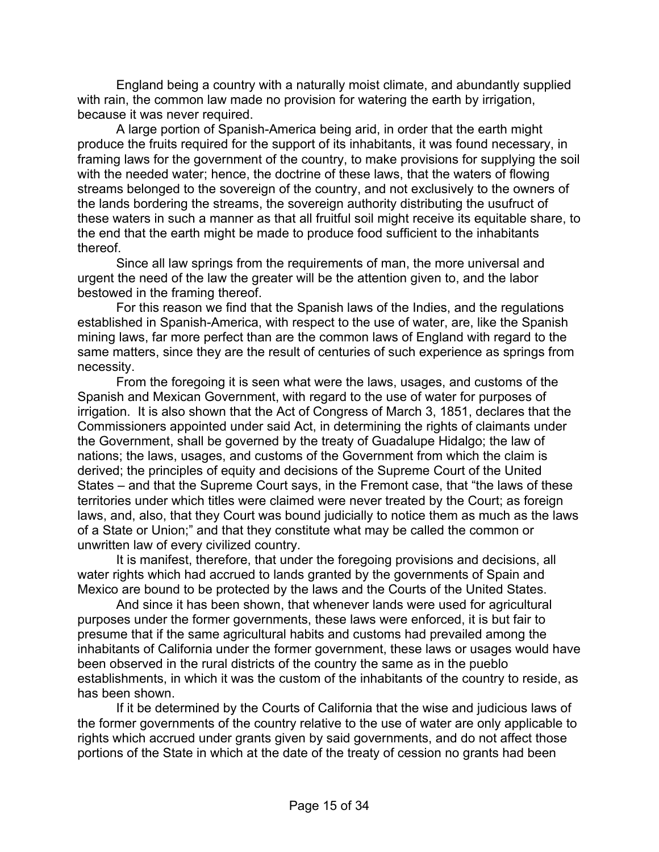England being a country with a naturally moist climate, and abundantly supplied with rain, the common law made no provision for watering the earth by irrigation, because it was never required.

 A large portion of Spanish-America being arid, in order that the earth might produce the fruits required for the support of its inhabitants, it was found necessary, in framing laws for the government of the country, to make provisions for supplying the soil with the needed water; hence, the doctrine of these laws, that the waters of flowing streams belonged to the sovereign of the country, and not exclusively to the owners of the lands bordering the streams, the sovereign authority distributing the usufruct of these waters in such a manner as that all fruitful soil might receive its equitable share, to the end that the earth might be made to produce food sufficient to the inhabitants thereof.

 Since all law springs from the requirements of man, the more universal and urgent the need of the law the greater will be the attention given to, and the labor bestowed in the framing thereof.

 For this reason we find that the Spanish laws of the Indies, and the regulations established in Spanish-America, with respect to the use of water, are, like the Spanish mining laws, far more perfect than are the common laws of England with regard to the same matters, since they are the result of centuries of such experience as springs from necessity.

 From the foregoing it is seen what were the laws, usages, and customs of the Spanish and Mexican Government, with regard to the use of water for purposes of irrigation. It is also shown that the Act of Congress of March 3, 1851, declares that the Commissioners appointed under said Act, in determining the rights of claimants under the Government, shall be governed by the treaty of Guadalupe Hidalgo; the law of nations; the laws, usages, and customs of the Government from which the claim is derived; the principles of equity and decisions of the Supreme Court of the United States – and that the Supreme Court says, in the Fremont case, that "the laws of these territories under which titles were claimed were never treated by the Court; as foreign laws, and, also, that they Court was bound judicially to notice them as much as the laws of a State or Union;" and that they constitute what may be called the common or unwritten law of every civilized country.

 It is manifest, therefore, that under the foregoing provisions and decisions, all water rights which had accrued to lands granted by the governments of Spain and Mexico are bound to be protected by the laws and the Courts of the United States.

 And since it has been shown, that whenever lands were used for agricultural purposes under the former governments, these laws were enforced, it is but fair to presume that if the same agricultural habits and customs had prevailed among the inhabitants of California under the former government, these laws or usages would have been observed in the rural districts of the country the same as in the pueblo establishments, in which it was the custom of the inhabitants of the country to reside, as has been shown.

 If it be determined by the Courts of California that the wise and judicious laws of the former governments of the country relative to the use of water are only applicable to rights which accrued under grants given by said governments, and do not affect those portions of the State in which at the date of the treaty of cession no grants had been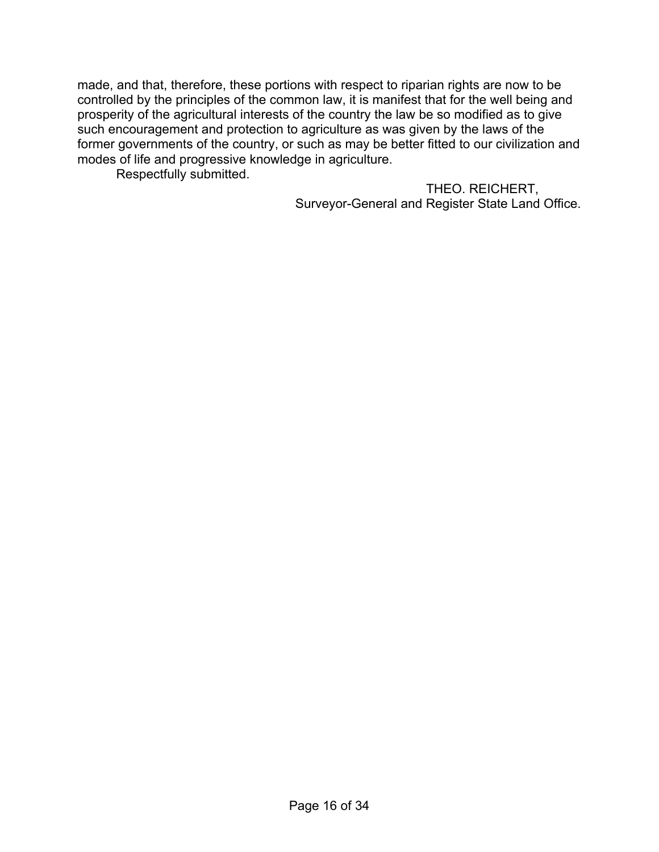made, and that, therefore, these portions with respect to riparian rights are now to be controlled by the principles of the common law, it is manifest that for the well being and prosperity of the agricultural interests of the country the law be so modified as to give such encouragement and protection to agriculture as was given by the laws of the former governments of the country, or such as may be better fitted to our civilization and modes of life and progressive knowledge in agriculture.

Respectfully submitted.

THEO. REICHERT, Surveyor-General and Register State Land Office.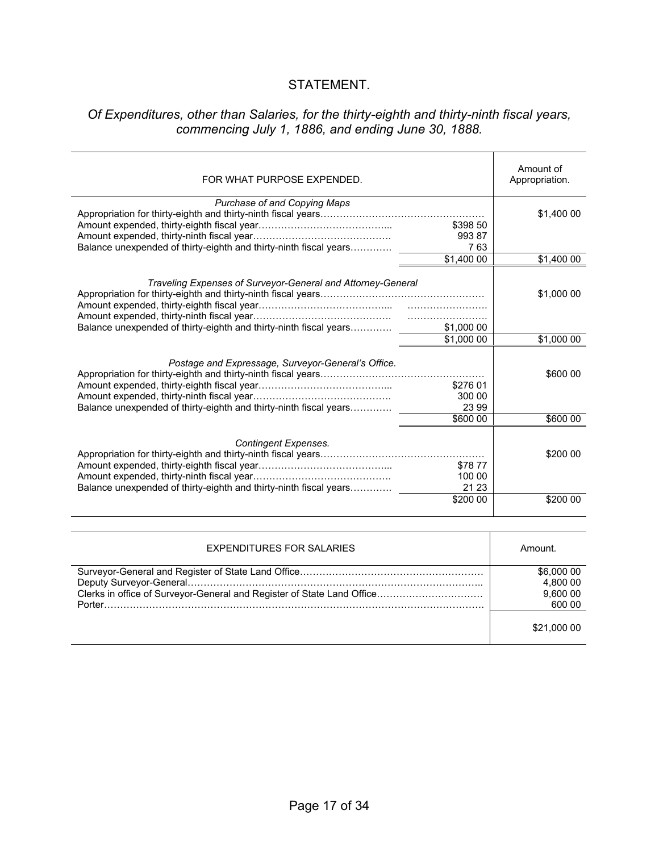#### STATEMENT.

#### *Of Expenditures, other than Salaries, for the thirty-eighth and thirty-ninth fiscal years, commencing July 1, 1886, and ending June 30, 1888.*

| FOR WHAT PURPOSE EXPENDED.                                                                                                       |                                         | Amount of<br>Appropriation. |
|----------------------------------------------------------------------------------------------------------------------------------|-----------------------------------------|-----------------------------|
| Purchase of and Copying Maps<br>Balance unexpended of thirty-eighth and thirty-ninth fiscal years                                | \$398 50<br>993 87<br>763               | \$1,400 00                  |
|                                                                                                                                  | \$1,40000                               | \$1,400 00                  |
| Traveling Expenses of Surveyor-General and Attorney-General<br>Balance unexpended of thirty-eighth and thirty-ninth fiscal years | \$1,000 00                              | \$1,000 00                  |
|                                                                                                                                  | \$1,000 00                              | \$1,000 00                  |
| Postage and Expressage, Surveyor-General's Office.<br>Balance unexpended of thirty-eighth and thirty-ninth fiscal years          | \$276 01<br>300 00<br>23 99<br>\$600 00 | \$600 00<br>\$600 00        |
| <b>Contingent Expenses.</b><br>Balance unexpended of thirty-eighth and thirty-ninth fiscal years                                 | \$7877<br>100 00<br>21 23<br>\$200 00   | \$200 00<br>\$200 00        |
|                                                                                                                                  |                                         |                             |
|                                                                                                                                  |                                         |                             |
| <b>EXPENDITURES FOR SALARIES</b>                                                                                                 |                                         | Amount.                     |
| Survoyer Conoral and Pegister of State Land Office                                                                               |                                         | <b>CA NON NO</b>            |

| \$6,000 00  |
|-------------|
| 4,800 00    |
| 9.600 00    |
| 600 00      |
|             |
| \$21,000 00 |
|             |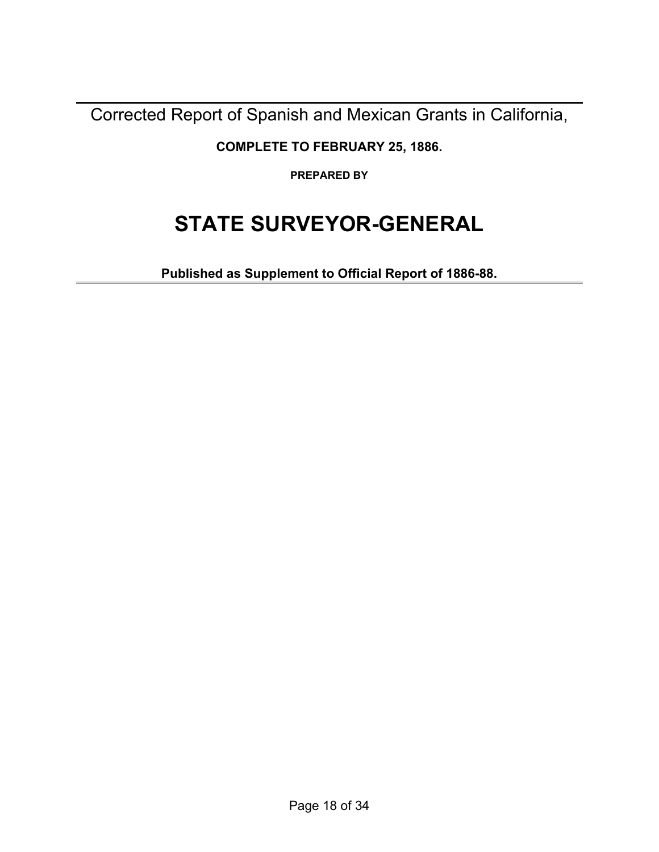Corrected Report of Spanish and Mexican Grants in California,

**COMPLETE TO FEBRUARY 25, 1886.** 

**PREPARED BY** 

# **STATE SURVEYOR-GENERAL**

**Published as Supplement to Official Report of 1886-88.**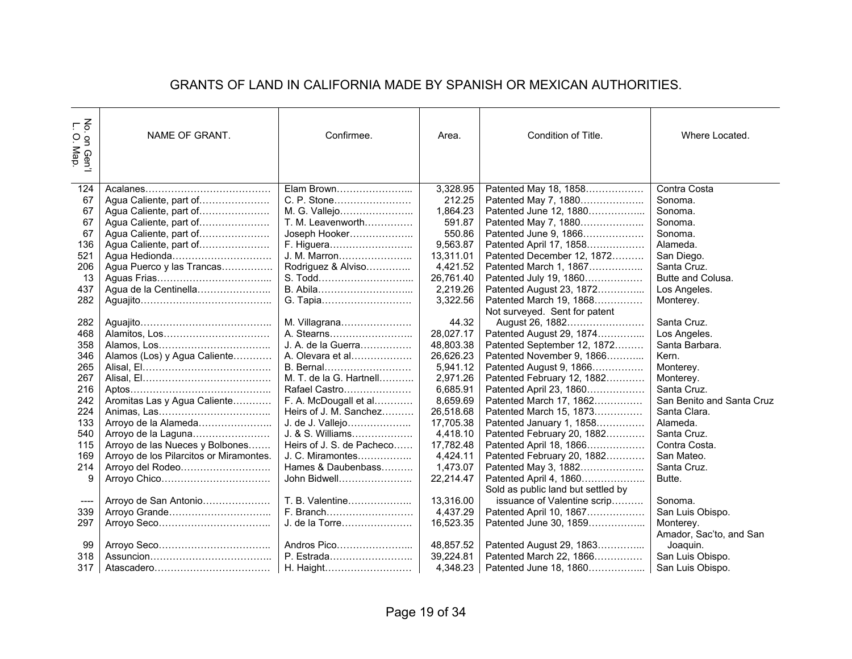#### GRANTS OF LAND IN CALIFORNIA MADE BY SPANISH OR MEXICAN AUTHORITIES.

| $\tilde{\epsilon}$<br>$\circ$<br>on Gen'l<br>Map. | NAME OF GRANT.                          | Confirmee.                | Area.     | Condition of Title.                | Where Located.            |
|---------------------------------------------------|-----------------------------------------|---------------------------|-----------|------------------------------------|---------------------------|
| 124                                               |                                         | Elam Brown                | 3,328.95  | Patented May 18, 1858              | Contra Costa              |
| 67                                                | Agua Caliente, part of                  | C. P. Stone               | 212.25    | Patented May 7, 1880               | Sonoma.                   |
| 67                                                | Agua Caliente, part of                  | M. G. Vallejo             | 1,864.23  | Patented June 12, 1880             | Sonoma.                   |
| 67                                                | Agua Caliente, part of                  | T. M. Leavenworth         | 591.87    | Patented May 7, 1880               | Sonoma.                   |
| 67                                                | Agua Caliente, part of                  | Joseph Hooker             | 550.86    | Patented June 9, 1866              | Sonoma.                   |
| 136                                               | Agua Caliente, part of                  | F. Higuera                | 9,563.87  | Patented April 17, 1858            | Alameda.                  |
| 521                                               |                                         | J. M. Marron              | 13,311.01 | Patented December 12, 1872         | San Diego.                |
| 206                                               | Agua Puerco y las Trancas               | Rodriguez & Alviso        | 4.421.52  | Patented March 1, 1867             | Santa Cruz.               |
| 13                                                |                                         | S. Todd                   | 26,761.40 | Patented July 19, 1860             | Butte and Colusa.         |
| 437                                               | Agua de la Centinella                   |                           | 2,219.26  | Patented August 23, 1872           | Los Angeles.              |
| 282                                               |                                         | G. Tapia                  | 3,322.56  | Patented March 19, 1868            | Monterey.                 |
|                                                   |                                         |                           |           | Not surveyed. Sent for patent      |                           |
| 282                                               |                                         | M. Villagrana             | 44.32     | August 26, 1882                    | Santa Cruz.               |
| 468                                               |                                         | A. Stearns                | 28,027.17 | Patented August 29, 1874           | Los Angeles.              |
| 358                                               |                                         | J. A. de la Guerra        | 48,803.38 | Patented September 12, 1872        | Santa Barbara.            |
| 346                                               | Alamos (Los) y Agua Caliente            | A. Olevara et al          | 26,626.23 | Patented November 9, 1866          | Kern.                     |
| 265                                               |                                         | B. Bernal                 | 5,941.12  | Patented August 9, 1866            | Monterey.                 |
| 267                                               |                                         | M. T. de la G. Hartnell   | 2,971.26  | Patented February 12, 1882         | Monterey.                 |
| 216                                               |                                         | Rafael Castro             | 6,685.91  | Patented April 23, 1860            | Santa Cruz.               |
| 242                                               | Aromitas Las y Agua Caliente            | F. A. McDougall et al     | 8,659.69  | Patented March 17, 1862            | San Benito and Santa Cruz |
| 224                                               |                                         | Heirs of J. M. Sanchez    | 26,518.68 | Patented March 15, 1873            | Santa Clara.              |
| 133                                               |                                         | J. de J. Vallejo          | 17,705.38 | Patented January 1, 1858           | Alameda.                  |
| 540                                               | Arroyo de la Laguna                     | J. & S. Williams          | 4,418.10  | Patented February 20, 1882         | Santa Cruz.               |
| 115                                               | Arroyo de las Nueces y Bolbones         | Heirs of J. S. de Pacheco | 17,782.48 | Patented April 18, 1866            | Contra Costa.             |
| 169                                               | Arroyo de los Pilarcitos or Miramontes. | J. C. Miramontes          | 4,424.11  | Patented February 20, 1882         | San Mateo.                |
| 214                                               | Arroyo del Rodeo                        | Hames & Daubenbass        | 1,473.07  | Patented May 3, 1882               | Santa Cruz.               |
| 9                                                 |                                         | John Bidwell              | 22,214.47 | Patented April 4, 1860             | Butte.                    |
|                                                   |                                         |                           |           | Sold as public land but settled by |                           |
| ----                                              | Arroyo de San Antonio                   | T. B. Valentine           | 13,316.00 | issuance of Valentine scrip        | Sonoma.                   |
| 339                                               | Arroyo Grande                           | F. Branch                 | 4,437.29  | Patented April 10, 1867            | San Luis Obispo.          |
| 297                                               |                                         | J. de la Torre            | 16,523.35 | Patented June 30, 1859             | Monterey.                 |
|                                                   |                                         |                           |           |                                    | Amador, Sac'to, and San   |
| 99                                                |                                         | Andros Pico               | 48,857.52 | Patented August 29, 1863           | Joaquin.                  |
| 318                                               |                                         | P. Estrada                | 39,224.81 | Patented March 22, 1866            | San Luis Obispo.          |
| 317                                               |                                         | H. Haight                 | 4,348.23  | Patented June 18, 1860             | San Luis Obispo.          |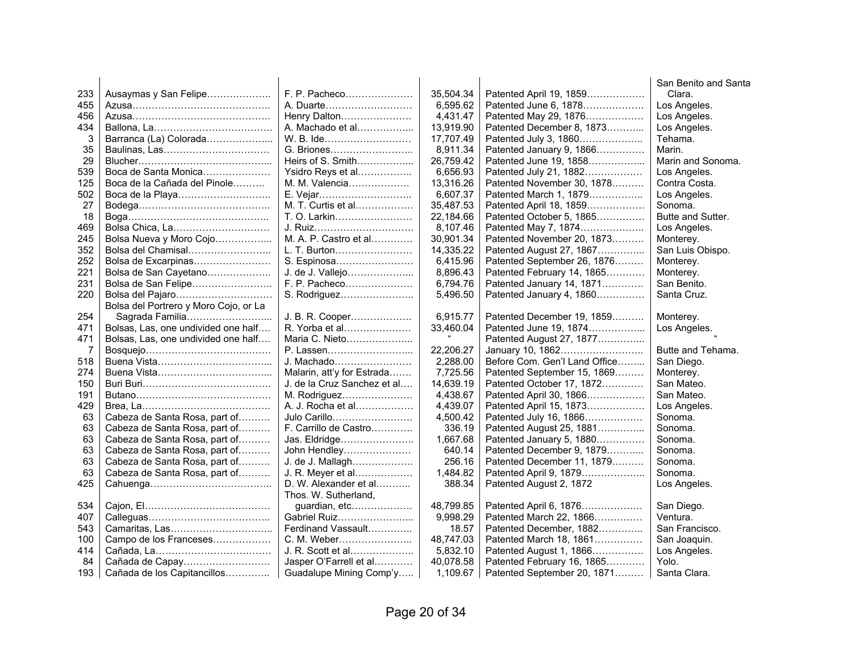|     |                                       |                             |           |                               | San Benito and Santa |
|-----|---------------------------------------|-----------------------------|-----------|-------------------------------|----------------------|
| 233 | Ausaymas y San Felipe                 | F. P. Pacheco               | 35,504.34 | Patented April 19, 1859       | Clara.               |
| 455 |                                       | A. Duarte                   | 6,595.62  | Patented June 6, 1878         | Los Angeles.         |
| 456 |                                       | Henry Dalton                | 4,431.47  | Patented May 29, 1876         | Los Angeles.         |
| 434 |                                       | A. Machado et al            | 13,919.90 | Patented December 8, 1873     | Los Angeles.         |
| 3   | Barranca (La) Colorada                | W. B. Ide                   | 17,707.49 | Patented July 3, 1860         | Tehama.              |
| 35  | Baulinas, Las                         | G. Briones                  | 8,911.34  | Patented January 9, 1866      | Marin.               |
| 29  |                                       | Heirs of S. Smith           | 26,759.42 | Patented June 19, 1858        | Marin and Sonoma.    |
| 539 | Boca de Santa Monica                  | Ysidro Reys et al           | 6,656.93  | Patented July 21, 1882        | Los Angeles.         |
| 125 | Boca de la Cañada del Pinole          | M. M. Valencia              | 13,316.26 | Patented November 30, 1878    | Contra Costa.        |
| 502 | Boca de la Playa                      |                             | 6,607.37  | Patented March 1, 1879        | Los Angeles.         |
| 27  |                                       | M. T. Curtis et al          | 35,487.53 | Patented April 18, 1859       | Sonoma.              |
| 18  |                                       | T. O. Larkin                | 22,184.66 | Patented October 5, 1865      | Butte and Sutter.    |
| 469 | Bolsa Chica, La                       | J. Ruiz                     | 8,107.46  | Patented May 7, 1874          | Los Angeles.         |
| 245 | Bolsa Nueva y Moro Cojo               | M. A. P. Castro et al       | 30,901.34 | Patented November 20, 1873    | Monterey.            |
| 352 | Bolsa del Chamisal                    | L. T. Burton                | 14,335.22 | Patented August 27, 1867      | San Luis Obispo.     |
| 252 | Bolsa de Excarpinas                   | S. Espinosa                 | 6,415.96  | Patented September 26, 1876   | Monterey.            |
| 221 | Bolsa de San Cayetano                 | J. de J. Vallejo            | 8,896.43  | Patented February 14, 1865    | Monterey.            |
| 231 | Bolsa de San Felipe                   | F. P. Pacheco               | 6,794.76  | Patented January 14, 1871     | San Benito.          |
| 220 | Bolsa del Pajaro                      | S. Rodriguez                | 5,496.50  | Patented January 4, 1860      | Santa Cruz.          |
|     | Bolsa del Portrero y Moro Cojo, or La |                             |           |                               |                      |
| 254 | Sagrada Familia                       | J. B. R. Cooper             | 6,915.77  | Patented December 19, 1859    | Monterey.            |
| 471 | Bolsas, Las, one undivided one half   | R. Yorba et al              | 33,460.04 | Patented June 19, 1874        | Los Angeles.         |
| 471 | Bolsas, Las, one undivided one half   | Maria C. Nieto              |           | Patented August 27, 1877      |                      |
| 7   |                                       | P. Lassen                   | 22,206.27 | January 10, 1862              | Butte and Tehama.    |
| 518 |                                       | J. Machado                  | 2,288.00  | Before Com. Gen'l Land Office | San Diego.           |
| 274 |                                       | Malarin, att'y for Estrada  | 7,725.56  | Patented September 15, 1869   | Monterey.            |
| 150 |                                       | J. de la Cruz Sanchez et al | 14,639.19 | Patented October 17, 1872     | San Mateo.           |
| 191 |                                       | M. Rodriguez                | 4,438.67  | Patented April 30, 1866       | San Mateo.           |
| 429 |                                       | A. J. Rocha et al           | 4,439.07  | Patented April 15, 1873       | Los Angeles.         |
| 63  | Cabeza de Santa Rosa, part of         | Julo Carillo                | 4,500.42  | Patented July 16, 1866        | Sonoma.              |
| 63  | Cabeza de Santa Rosa, part of         | F. Carrillo de Castro       | 336.19    | Patented August 25, 1881      | Sonoma.              |
| 63  | Cabeza de Santa Rosa, part of         | Jas. Eldridge               | 1,667.68  | Patented January 5, 1880      | Sonoma.              |
| 63  | Cabeza de Santa Rosa, part of         | John Hendley                | 640.14    | Patented December 9, 1879     | Sonoma.              |
| 63  | Cabeza de Santa Rosa, part of         | J. de J. Mallagh            | 256.16    | Patented December 11, 1879    | Sonoma.              |
| 63  | Cabeza de Santa Rosa, part of         | J. R. Meyer et al           | 1,484.82  | Patented April 9, 1879        | Sonoma.              |
| 425 |                                       | D. W. Alexander et al       | 388.34    | Patented August 2, 1872       | Los Angeles.         |
|     |                                       | Thos. W. Sutherland,        |           |                               |                      |
| 534 |                                       | guardian, etc               | 48,799.85 | Patented April 6, 1876        | San Diego.           |
| 407 |                                       | Gabriel Ruiz                | 9,998.29  | Patented March 22, 1866       | Ventura.             |
| 543 |                                       | Ferdinand Vassault          | 18.57     | Patented December, 1882       | San Francisco.       |
| 100 | Campo de los Franceses                | C. M. Weber                 | 48,747.03 | Patented March 18, 1861       | San Joaquin.         |
| 414 |                                       | J. R. Scott et al           | 5,832.10  | Patented August 1, 1866       | Los Angeles.         |
| 84  | Cañada de Capay                       | Jasper O'Farrell et al      | 40,078.58 | Patented February 16, 1865    | Yolo.                |
| 193 | Cañada de los Capitancillos           | Guadalupe Mining Comp'y     | 1,109.67  | Patented September 20, 1871   | Santa Clara.         |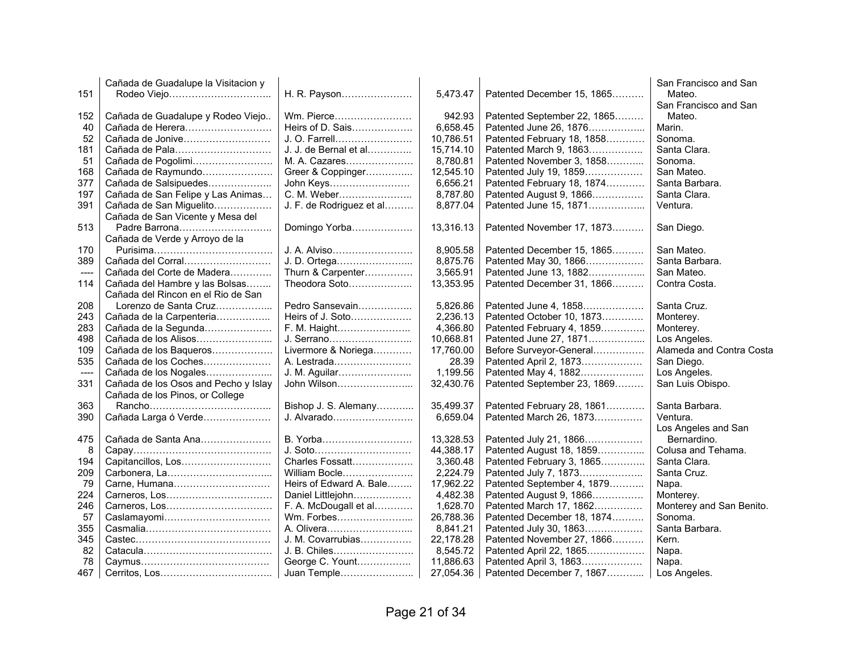|       | Cañada de Guadalupe la Visitacion y  |                          |           |                             | San Francisco and San    |
|-------|--------------------------------------|--------------------------|-----------|-----------------------------|--------------------------|
| 151   |                                      | H. R. Payson             | 5,473.47  | Patented December 15, 1865  | Mateo.                   |
|       |                                      |                          |           |                             | San Francisco and San    |
| 152   | Cañada de Guadalupe y Rodeo Viejo    | Wm. Pierce               | 942.93    | Patented September 22, 1865 | Mateo.                   |
| 40    | Cañada de Herera                     | Heirs of D. Sais         | 6,658.45  | Patented June 26, 1876      | Marin.                   |
| 52    | Cañada de Jonive                     | J. O. Farrell            | 10,786.51 | Patented February 18, 1858  | Sonoma.                  |
| 181   | Cañada de Pala                       | J. J. de Bernal et al    | 15,714.10 | Patented March 9, 1863      | Santa Clara.             |
| 51    | Cañada de Pogolimi                   | M. A. Cazares            | 8,780.81  | Patented November 3, 1858   | Sonoma.                  |
| 168   | Cañada de Raymundo                   | Greer & Coppinger        | 12,545.10 | Patented July 19, 1859      | San Mateo.               |
| 377   | Cañada de Salsipuedes                | John Keys                | 6,656.21  | Patented February 18, 1874  | Santa Barbara.           |
| 197   | Cañada de San Felipe y Las Animas    | C. M. Weber              | 8,787.80  | Patented August 9, 1866     | Santa Clara.             |
| 391   | Cañada de San Miguelito              | J. F. de Rodriguez et al | 8,877.04  | Patented June 15, 1871      | Ventura.                 |
|       | Cañada de San Vicente y Mesa del     |                          |           |                             |                          |
| 513   | Padre Barrona                        | Domingo Yorba            | 13,316.13 | Patented November 17, 1873  | San Diego.               |
|       | Cañada de Verde y Arroyo de la       |                          |           |                             |                          |
| 170   |                                      | J. A. Alviso             | 8,905.58  | Patented December 15, 1865  | San Mateo.               |
|       | Cañada del Corral                    | J. D. Ortega             | 8,875.76  | Patented May 30, 1866       | Santa Barbara.           |
| 389   |                                      |                          | 3,565.91  |                             | San Mateo.               |
| ----  | Cañada del Corte de Madera           | Thurn & Carpenter        |           | Patented June 13, 1882      |                          |
| 114   | Cañada del Hambre y las Bolsas       | Theodora Soto            | 13,353.95 | Patented December 31, 1866  | Contra Costa.            |
|       | Cañada del Rincon en el Rio de San   |                          |           |                             |                          |
| 208   | Lorenzo de Santa Cruz                | Pedro Sansevain          | 5,826.86  | Patented June 4, 1858       | Santa Cruz.              |
| 243   | Cañada de la Carpenteria             | Heirs of J. Soto         | 2,236.13  | Patented October 10, 1873   | Monterey.                |
| 283   | Cañada de la Segunda                 | F. M. Haight             | 4,366.80  | Patented February 4, 1859   | Monterey.                |
| 498   |                                      | J. Serrano               | 10,668.81 | Patented June 27, 1871      | Los Angeles.             |
| 109   | Cañada de los Baqueros               | Livermore & Noriega      | 17,760.00 | Before Surveyor-General     | Alameda and Contra Costa |
| 535   | Cañada de los Coches                 | A. Lestrada              | 28.39     | Patented April 2, 1873      | San Diego.               |
| $---$ | Cañada de los Nogales                | J. M. Aguilar            | 1,199.56  | Patented May 4, 1882        | Los Angeles.             |
| 331   | Cañada de los Osos and Pecho y Islay | John Wilson              | 32,430.76 | Patented September 23, 1869 | San Luis Obispo.         |
|       | Cañada de los Pinos, or College      |                          |           |                             |                          |
| 363   |                                      | Bishop J. S. Alemany     | 35,499.37 | Patented February 28, 1861  | Santa Barbara.           |
| 390   | Cañada Larga ó Verde                 | J. Alvarado              | 6,659.04  | Patented March 26, 1873     | Ventura.                 |
|       |                                      |                          |           |                             | Los Angeles and San      |
| 475   | Cañada de Santa Ana                  | B. Yorba                 | 13,328.53 | Patented July 21, 1866      | Bernardino.              |
| 8     |                                      | J. Soto                  | 44,388.17 | Patented August 18, 1859    | Colusa and Tehama.       |
| 194   |                                      | Charles Fossatt          | 3,360.48  | Patented February 3, 1865   | Santa Clara.             |
| 209   |                                      | William Bocle            | 2,224.79  | Patented July 7, 1873       | Santa Cruz.              |
| 79    | Carne, Humana                        | Heirs of Edward A. Bale  | 17,962.22 | Patented September 4, 1879  | Napa.                    |
| 224   |                                      | Daniel Littlejohn        | 4,482.38  | Patented August 9, 1866     | Monterey.                |
| 246   |                                      | F. A. McDougall et al    | 1,628.70  | Patented March 17, 1862     | Monterey and San Benito. |
| 57    | Caslamayomi                          | Wm. Forbes               | 26,788.36 | Patented December 18, 1874  | Sonoma.                  |
| 355   |                                      | A. Olivera               | 8,841.21  | Patented July 30, 1863      | Santa Barbara.           |
| 345   |                                      | J. M. Covarrubias        | 22,178.28 | Patented November 27, 1866  | Kern.                    |
| 82    |                                      | J. B. Chiles             | 8,545.72  | Patented April 22, 1865     | Napa.                    |
| 78    |                                      | George C. Yount          | 11,886.63 | Patented April 3, 1863      | Napa.                    |
| 467   |                                      | Juan Temple              | 27,054.36 | Patented December 7, 1867   | Los Angeles.             |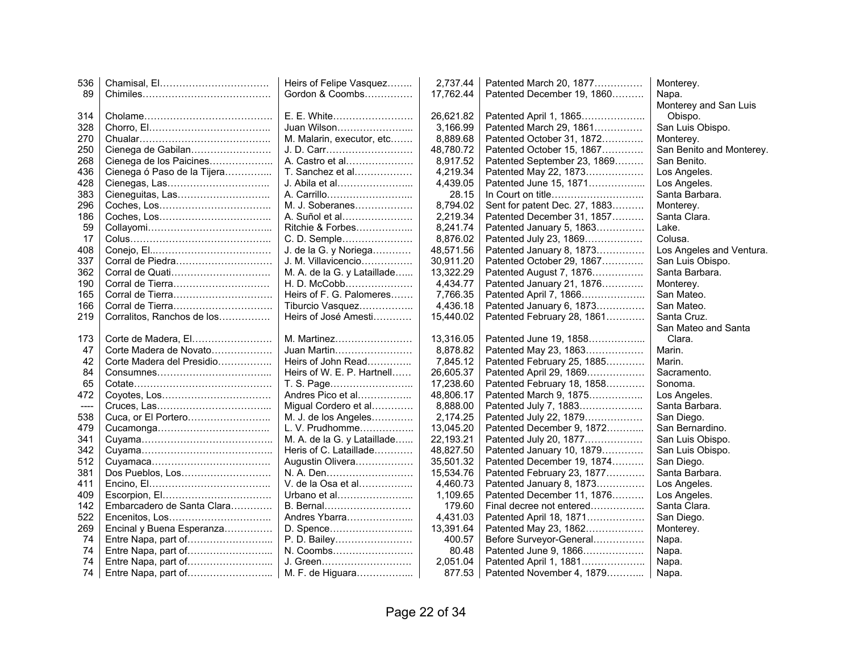| 536  |                             | Heirs of Felipe Vasquez     | 2,737.44  | Patented March 20, 1877       | Monterey.                |
|------|-----------------------------|-----------------------------|-----------|-------------------------------|--------------------------|
| 89   |                             | Gordon & Coombs             | 17,762.44 | Patented December 19, 1860    | Napa.                    |
|      |                             |                             |           |                               | Monterey and San Luis    |
| 314  |                             | E. E. White                 | 26,621.82 | Patented April 1, 1865        | Obispo.                  |
| 328  |                             | Juan Wilson                 | 3,166.99  | Patented March 29, 1861       | San Luis Obispo.         |
| 270  |                             | M. Malarin, executor, etc   | 8,889.68  | Patented October 31, 1872     | Monterey.                |
| 250  | Cienega de Gabilan          | J. D. Carr                  | 48,780.72 | Patented October 15, 1867     | San Benito and Monterey. |
| 268  | Cienega de los Paicines     | A. Castro et al             | 8,917.52  | Patented September 23, 1869   | San Benito.              |
| 436  | Cienega ó Paso de la Tijera | T. Sanchez et al            | 4,219.34  | Patented May 22, 1873         | Los Angeles.             |
| 428  |                             | J. Abila et al              | 4,439.05  | Patented June 15, 1871        | Los Angeles.             |
| 383  |                             | A. Carrillo                 | 28.15     |                               | Santa Barbara.           |
| 296  |                             | M. J. Soberanes             | 8,794.02  | Sent for patent Dec. 27, 1883 | Monterey.                |
| 186  |                             | A. Suñol et al              | 2,219.34  | Patented December 31, 1857    | Santa Clara.             |
| 59   |                             | Ritchie & Forbes            | 8,241.74  | Patented January 5, 1863      | Lake.                    |
| 17   |                             | C. D. Semple                | 8,876.02  | Patented July 23, 1869        | Colusa.                  |
| 408  |                             | J. de la G. y Noriega       | 48,571.56 | Patented January 8, 1873      | Los Angeles and Ventura. |
| 337  | Corral de Piedra            | J. M. Villavicencio         | 30,911.20 | Patented October 29, 1867     | San Luis Obispo.         |
| 362  |                             | M. A. de la G. y Lataillade | 13,322.29 | Patented August 7, 1876       | Santa Barbara.           |
| 190  | Corral de Tierra            | H. D. McCobb                | 4,434.77  | Patented January 21, 1876     | Monterey.                |
| 165  | Corral de Tierra            | Heirs of F. G. Palomeres    | 7,766.35  | Patented April 7, 1866        | San Mateo.               |
| 166  |                             | Tiburcio Vasquez            | 4,436.18  | Patented January 6, 1873      | San Mateo.               |
| 219  | Corralitos, Ranchos de los  | Heirs of José Amesti        | 15,440.02 | Patented February 28, 1861    | Santa Cruz.              |
|      |                             |                             |           |                               | San Mateo and Santa      |
| 173  | Corte de Madera, El         | M. Martinez                 | 13,316.05 | Patented June 19, 1858        | Clara.                   |
| 47   | Corte Madera de Novato      | Juan Martin                 | 8,878.82  | Patented May 23, 1863         | Marin.                   |
| 42   | Corte Madera del Presidio   | Heirs of John Read          | 7,845.12  | Patented February 25, 1885    | Marin.                   |
| 84   |                             | Heirs of W. E. P. Hartnell  | 26,605.37 | Patented April 29, 1869       | Sacramento.              |
| 65   |                             | T. S. Page                  | 17,238.60 | Patented February 18, 1858    | Sonoma.                  |
| 472  |                             | Andres Pico et al           | 48.806.17 | Patented March 9, 1875        | Los Angeles.             |
| ---- |                             | Migual Cordero et al        | 8,888.00  | Patented July 7, 1883         | Santa Barbara.           |
| 538  |                             | M. J. de los Angeles        | 2,174.25  | Patented July 22, 1879        | San Diego.               |
| 479  |                             | L. V. Prudhomme             | 13,045.20 | Patented December 9, 1872     | San Bernardino.          |
| 341  |                             | M. A. de la G. y Lataillade | 22,193.21 | Patented July 20, 1877        | San Luis Obispo.         |
| 342  |                             | Heris of C. Lataillade      | 48,827.50 | Patented January 10, 1879     | San Luis Obispo.         |
| 512  |                             | Augustin Olivera            | 35,501.32 | Patented December 19, 1874    | San Diego.               |
| 381  | Dos Pueblos, Los            | N. A. Den                   | 15,534.76 | Patented February 23, 1877    | Santa Barbara.           |
| 411  |                             | V. de la Osa et al          | 4,460.73  | Patented January 8, 1873      | Los Angeles.             |
| 409  |                             | Urbano et al                | 1,109.65  | Patented December 11, 1876    | Los Angeles.             |
| 142  | Embarcadero de Santa Clara  | B. Bernal                   | 179.60    | Final decree not entered      | Santa Clara.             |
| 522  |                             | Andres Ybarra               | 4,431.03  | Patented April 18, 1871       | San Diego.               |
| 269  | Encinal y Buena Esperanza   | D. Spence                   | 13,391.64 | Patented May 23, 1862         | Monterey.                |
| 74   | Entre Napa, part of         | P. D. Bailey                | 400.57    | Before Surveyor-General       | Napa.                    |
| 74   |                             | N. Coombs                   | 80.48     | Patented June 9, 1866         | Napa.                    |
| 74   |                             | J. Green                    | 2,051.04  | Patented April 1, 1881        | Napa.                    |
| 74   |                             | M. F. de Higuara            | 877.53    | Patented November 4, 1879     | Napa.                    |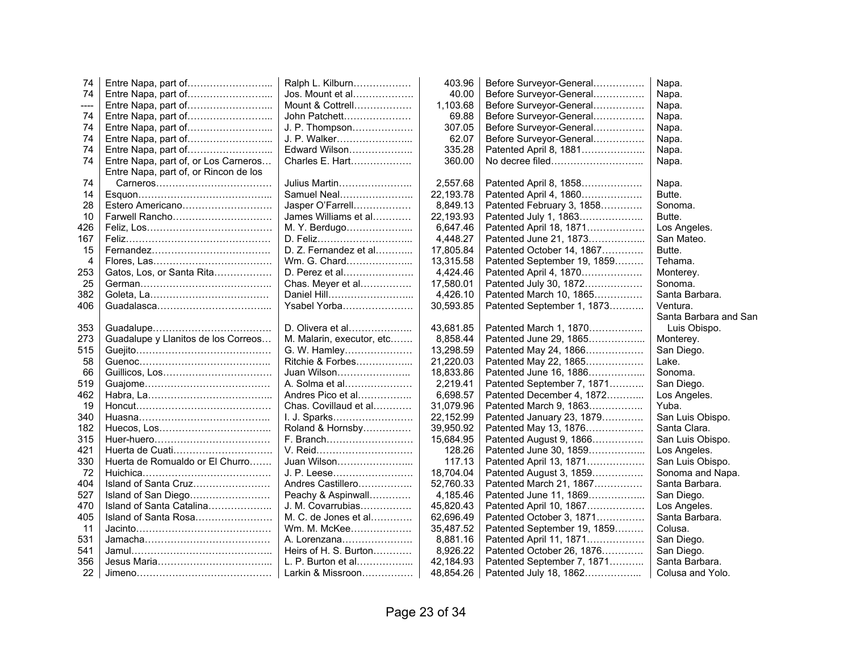| 74   |                                       | Ralph L. Kilburn          | 403.96    | Before Surveyor-General     | Napa.                 |
|------|---------------------------------------|---------------------------|-----------|-----------------------------|-----------------------|
| 74   |                                       | Jos. Mount et al          | 40.00     | Before Surveyor-General     | Napa.                 |
| ---- | Entre Napa, part of                   | Mount & Cottrell          | 1,103.68  | Before Surveyor-General     | Napa.                 |
| 74   | Entre Napa, part of                   | John Patchett             | 69.88     | Before Surveyor-General     | Napa.                 |
| 74   | Entre Napa, part of                   | J. P. Thompson            | 307.05    | Before Surveyor-General     | Napa.                 |
| 74   |                                       | J. P. Walker              | 62.07     | Before Surveyor-General     | Napa.                 |
| 74   |                                       | Edward Wilson             | 335.28    | Patented April 8, 1881      | Napa.                 |
| 74   | Entre Napa, part of, or Los Carneros  | Charles E. Hart           | 360.00    | No decree filed             | Napa.                 |
|      | Entre Napa, part of, or Rincon de los |                           |           |                             |                       |
| 74   |                                       | Julius Martin             | 2,557.68  | Patented April 8, 1858      | Napa.                 |
| 14   |                                       | Samuel Neal               | 22,193.78 | Patented April 4, 1860      | Butte.                |
| 28   | Estero Americano                      | Jasper O'Farrell          | 8,849.13  | Patented February 3, 1858   | Sonoma.               |
| 10   | Farwell Rancho                        | James Williams et al      | 22,193.93 | Patented July 1, 1863       | Butte.                |
| 426  |                                       | M. Y. Berdugo             | 6,647.46  | Patented April 18, 1871     | Los Angeles.          |
| 167  |                                       | D. Feliz                  | 4.448.27  | Patented June 21, 1873      | San Mateo.            |
| 15   |                                       | D. Z. Fernandez et al     | 17,805.84 | Patented October 14, 1867   | Butte.                |
| 4    |                                       | Wm. G. Chard              | 13,315.58 | Patented September 19, 1859 | Tehama.               |
| 253  | Gatos, Los, or Santa Rita             | D. Perez et al            | 4,424.46  | Patented April 4, 1870      | Monterey.             |
| 25   |                                       | Chas. Meyer et al         | 17,580.01 | Patented July 30, 1872      | Sonoma.               |
| 382  |                                       | Daniel Hill               | 4,426.10  | Patented March 10, 1865     | Santa Barbara.        |
| 406  |                                       | Ysabel Yorba              | 30,593.85 | Patented September 1, 1873  | Ventura.              |
|      |                                       |                           |           |                             | Santa Barbara and San |
| 353  |                                       | D. Olivera et al          | 43,681.85 | Patented March 1, 1870      | Luis Obispo.          |
| 273  | Guadalupe y Llanitos de los Correos   | M. Malarin, executor, etc | 8,858.44  | Patented June 29, 1865      | Monterey.             |
| 515  |                                       | G. W. Hamley              | 13,298.59 | Patented May 24, 1866       | San Diego.            |
| 58   |                                       | Ritchie & Forbes          | 21,220.03 | Patented May 22, 1865       | Lake.                 |
| 66   |                                       | Juan Wilson               | 18,833.86 | Patented June 16, 1886      | Sonoma.               |
| 519  |                                       | A. Solma et al            | 2,219.41  | Patented September 7, 1871  | San Diego.            |
| 462  |                                       | Andres Pico et al         | 6,698.57  | Patented December 4, 1872   | Los Angeles.          |
| 19   |                                       | Chas. Covillaud et al     | 31,079.96 | Patented March 9, 1863      | Yuba.                 |
| 340  |                                       | I. J. Sparks              | 22,152.99 | Patented January 23, 1879   | San Luis Obispo.      |
| 182  |                                       | Roland & Hornsby          | 39,950.92 | Patented May 13, 1876       | Santa Clara.          |
| 315  |                                       | F. Branch                 | 15,684.95 | Patented August 9, 1866     | San Luis Obispo.      |
| 421  |                                       | V. Reid                   | 128.26    | Patented June 30, 1859      | Los Angeles.          |
| 330  | Huerta de Romualdo or El Churro       | Juan Wilson               | 117.13    | Patented April 13, 1871     | San Luis Obispo.      |
| 72   |                                       | J. P. Leese               | 18,704.04 | Patented August 3, 1859     | Sonoma and Napa.      |
| 404  | Island of Santa Cruz                  | Andres Castillero         | 52,760.33 | Patented March 21, 1867     | Santa Barbara.        |
| 527  |                                       | Peachy & Aspinwall        | 4,185.46  | Patented June 11, 1869      | San Diego.            |
| 470  | Island of Santa Catalina              | J. M. Covarrubias         | 45,820.43 | Patented April 10, 1867     | Los Angeles.          |
| 405  | Island of Santa Rosa                  | M. C. de Jones et al      | 62,696.49 | Patented October 3, 1871    | Santa Barbara.        |
| 11   |                                       | Wm. M. McKee              | 35,487.52 | Patented September 19, 1859 | Colusa.               |
| 531  |                                       | A. Lorenzana              | 8,881.16  | Patented April 11, 1871     | San Diego.            |
| 541  |                                       | Heirs of H. S. Burton     | 8,926.22  | Patented October 26, 1876   | San Diego.            |
| 356  |                                       | L. P. Burton et al        | 42,184.93 | Patented September 7, 1871  | Santa Barbara.        |
| 22   |                                       | Larkin & Missroon         | 48,854.26 | Patented July 18, 1862      | Colusa and Yolo.      |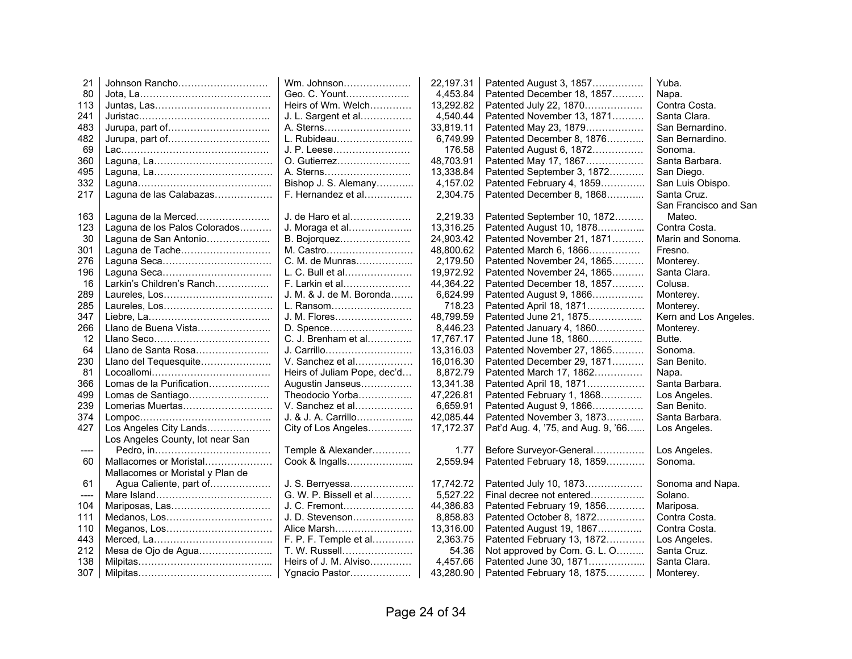| 21    | Johnson Rancho                   | Wm. Johnson                 | 22,197.31  | Patented August 3, 1857            | Yuba.                 |
|-------|----------------------------------|-----------------------------|------------|------------------------------------|-----------------------|
| 80    |                                  | Geo. C. Yount               | 4,453.84   | Patented December 18, 1857         | Napa.                 |
| 113   |                                  | Heirs of Wm. Welch          | 13,292.82  | Patented July 22, 1870             | Contra Costa.         |
| 241   |                                  | J. L. Sargent et al         | 4,540.44   | Patented November 13, 1871         | Santa Clara.          |
| 483   |                                  | A. Sterns                   | 33,819.11  | Patented May 23, 1879              | San Bernardino.       |
| 482   |                                  | L. Rubideau                 | 6,749.99   | Patented December 8, 1876          | San Bernardino.       |
| 69    |                                  | J. P. Leese                 | 176.58     | Patented August 6, 1872            | Sonoma.               |
| 360   |                                  | O. Gutierrez                | 48,703.91  | Patented May 17, 1867              | Santa Barbara.        |
| 495   |                                  | A. Sterns                   | 13,338.84  | Patented September 3, 1872         | San Diego.            |
| 332   |                                  | Bishop J. S. Alemany        | 4,157.02   | Patented February 4, 1859          | San Luis Obispo.      |
| 217   | Laguna de las Calabazas          | F. Hernandez et al          | 2,304.75   | Patented December 8, 1868          | Santa Cruz.           |
|       |                                  |                             |            |                                    | San Francisco and San |
| 163   | Laguna de la Merced              | J. de Haro et al            | 2,219.33   | Patented September 10, 1872        | Mateo.                |
| 123   | Laguna de los Palos Colorados    | J. Moraga et al             | 13,316.25  | Patented August 10, 1878           | Contra Costa.         |
| 30    | Laguna de San Antonio            | B. Bojorquez                | 24,903.42  | Patented November 21, 1871         | Marin and Sonoma.     |
| 301   | Laguna de Tache                  | M. Castro                   | 48,800.62  | Patented March 6, 1866             | Fresno.               |
| 276   |                                  | C. M. de Munras             | 2,179.50   | Patented November 24, 1865         | Monterey.             |
| 196   |                                  | L. C. Bull et al            | 19,972.92  | Patented November 24, 1865         | Santa Clara.          |
| 16    | Larkin's Children's Ranch        | F. Larkin et al             | 44,364.22  | Patented December 18, 1857         | Colusa.               |
| 289   |                                  | J. M. & J. de M. Boronda    | 6,624.99   | Patented August 9, 1866            | Monterey.             |
| 285   |                                  | L. Ransom                   | 718.23     | Patented April 18, 1871            | Monterey.             |
| 347   |                                  | J. M. Flores                | 48,799.59  | Patented June 21, 1875             | Kern and Los Angeles. |
| 266   | Llano de Buena Vista             | D. Spence                   | 8,446.23   | Patented January 4, 1860           | Monterey.             |
| 12    |                                  | C. J. Brenham et al         | 17,767.17  | Patented June 18, 1860             | Butte.                |
| 64    | Llano de Santa Rosa              | J. Carrillo                 | 13,316.03  | Patented November 27, 1865         | Sonoma.               |
| 230   | Llano del Tequesquite            | V. Sanchez et al            | 16,016.30  | Patented December 29, 1871         | San Benito.           |
| 81    |                                  | Heirs of Juliam Pope, dec'd | 8,872.79   | Patented March 17, 1862            | Napa.                 |
| 366   | Lomas de la Purification         | Augustin Janseus            | 13,341.38  | Patented April 18, 1871            | Santa Barbara.        |
| 499   | Lomas de Santiago                | Theodocio Yorba             | 47,226.81  | Patented February 1, 1868          | Los Angeles.          |
| 239   | Lomerias Muertas                 | V. Sanchez et al            | 6,659.91   | Patented August 9, 1866            | San Benito.           |
| 374   |                                  | J. & J. A. Carrillo         | 42,085.44  | Patented November 3, 1873          | Santa Barbara.        |
| 427   | Los Angeles City Lands           | City of Los Angeles         | 17, 172.37 | Pat'd Aug. 4, '75, and Aug. 9, '66 | Los Angeles.          |
|       | Los Angeles County, lot near San |                             |            |                                    |                       |
| $---$ |                                  | Temple & Alexander          | 1.77       | Before Surveyor-General            | Los Angeles.          |
| 60    | Mallacomes or Moristal           | Cook & Ingalls              | 2,559.94   | Patented February 18, 1859         | Sonoma.               |
|       | Mallacomes or Moristal y Plan de |                             |            |                                    |                       |
| 61    | Agua Caliente, part of           | J. S. Berryessa             | 17,742.72  | Patented July 10, 1873             | Sonoma and Napa.      |
| ----  |                                  | G. W. P. Bissell et al      | 5,527.22   | Final decree not entered           | Solano.               |
| 104   | Mariposas, Las                   | J. C. Fremont               | 44,386.83  | Patented February 19, 1856         | Mariposa.             |
| 111   |                                  | J. D. Stevenson             | 8,858.83   | Patented October 8, 1872           | Contra Costa.         |
| 110   | Meganos, Los                     | Alice Marsh                 | 13,316.00  | Patented August 19, 1867           | Contra Costa.         |
| 443   |                                  | F. P. F. Temple et al       | 2,363.75   | Patented February 13, 1872         | Los Angeles.          |
| 212   | Mesa de Ojo de Agua              | T. W. Russell               | 54.36      | Not approved by Com. G. L. O       | Santa Cruz.           |
| 138   |                                  | Heirs of J. M. Alviso       | 4,457.66   | Patented June 30, 1871             | Santa Clara.          |
| 307   |                                  | Ygnacio Pastor              | 43,280.90  | Patented February 18, 1875         | Monterey.             |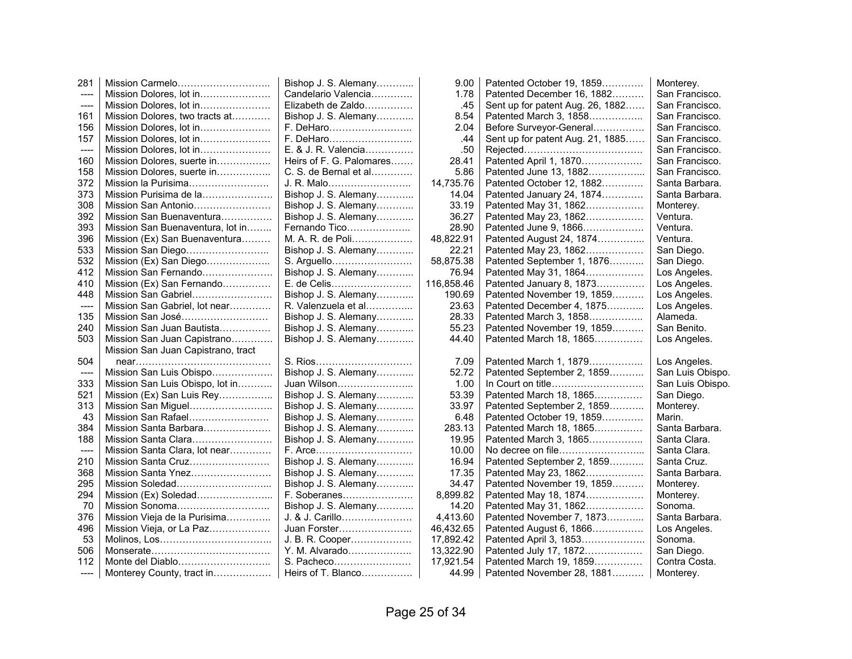| 281                   |                                    | Bishop J. S. Alemany     | 9.00       | Patented October 19, 1859        | Monterey.        |
|-----------------------|------------------------------------|--------------------------|------------|----------------------------------|------------------|
| $\qquad \qquad - - -$ | Mission Dolores, lot in            | Candelario Valencia      | 1.78       | Patented December 16, 1882       | San Francisco.   |
| $---$                 | Mission Dolores, lot in            | Elizabeth de Zaldo       | .45        | Sent up for patent Aug. 26, 1882 | San Francisco.   |
| 161                   | Mission Dolores, two tracts at     | Bishop J. S. Alemany     | 8.54       | Patented March 3, 1858           | San Francisco.   |
| 156                   | Mission Dolores, lot in            | F. DeHaro                | 2.04       | Before Surveyor-General          | San Francisco.   |
| 157                   | Mission Dolores, lot in            |                          | .44        | Sent up for patent Aug. 21, 1885 | San Francisco.   |
| ----                  | Mission Dolores, lot in            | E. & J. R. Valencia      | .50        |                                  | San Francisco.   |
| 160                   | Mission Dolores, suerte in         | Heirs of F. G. Palomares | 28.41      | Patented April 1, 1870           | San Francisco.   |
| 158                   | Mission Dolores, suerte in         | C. S. de Bernal et al    | 5.86       | Patented June 13, 1882           | San Francisco.   |
| 372                   | Mission la Purisima                | J. R. Malo               | 14,735.76  | Patented October 12, 1882        | Santa Barbara.   |
| 373                   | Mission Purisima de la             | Bishop J. S. Alemany     | 14.04      | Patented January 24, 1874        | Santa Barbara.   |
| 308                   | Mission San Antonio                | Bishop J. S. Alemany     | 33.19      | Patented May 31, 1862            | Monterey.        |
| 392                   | Mission San Buenaventura           | Bishop J. S. Alemany     | 36.27      | Patented May 23, 1862            | Ventura.         |
| 393                   | Mission San Buenaventura, lot in   | Fernando Tico            | 28.90      | Patented June 9, 1866            | Ventura.         |
| 396                   | Mission (Ex) San Buenaventura      | M. A. R. de Poli         | 48,822.91  | Patented August 24, 1874         | Ventura.         |
| 533                   | Mission San Diego                  | Bishop J. S. Alemany     | 22.21      | Patented May 23, 1862            | San Diego.       |
| 532                   | Mission (Ex) San Diego             | S. Arguello              | 58,875.38  | Patented September 1, 1876       | San Diego.       |
| 412                   | Mission San Fernando               | Bishop J. S. Alemany     | 76.94      | Patented May 31, 1864            | Los Angeles.     |
| 410                   | Mission (Ex) San Fernando          | E. de Celis              | 116,858.46 | Patented January 8, 1873         | Los Angeles.     |
| 448                   | Mission San Gabriel                | Bishop J. S. Alemany     | 190.69     | Patented November 19, 1859       | Los Angeles.     |
| ----                  | Mission San Gabriel, lot near      | R. Valenzuela et al      | 23.63      | Patented December 4, 1875        | Los Angeles.     |
| 135                   | Mission San José                   | Bishop J. S. Alemany     | 28.33      | Patented March 3, 1858           | Alameda.         |
| 240                   | Mission San Juan Bautista          | Bishop J. S. Alemany     | 55.23      | Patented November 19, 1859       | San Benito.      |
| 503                   | Mission San Juan Capistrano        | Bishop J. S. Alemany     | 44.40      | Patented March 18, 1865          | Los Angeles.     |
|                       | Mission San Juan Capistrano, tract |                          |            |                                  |                  |
| 504                   |                                    |                          | 7.09       | Patented March 1, 1879           | Los Angeles.     |
| $--- -$               | Mission San Luis Obispo            | Bishop J. S. Alemany     | 52.72      | Patented September 2, 1859       | San Luis Obispo. |
| 333                   | Mission San Luis Obispo, lot in    | Juan Wilson              | 1.00       |                                  | San Luis Obispo. |
| 521                   | Mission (Ex) San Luis Rey          | Bishop J. S. Alemany     | 53.39      | Patented March 18, 1865          | San Diego.       |
| 313                   | Mission San Miguel                 | Bishop J. S. Alemany     | 33.97      | Patented September 2, 1859       | Monterey.        |
| 43                    | Mission San Rafael                 | Bishop J. S. Alemany     | 6.48       | Patented October 19, 1859        | Marin.           |
| 384                   | Mission Santa Barbara              | Bishop J. S. Alemany     | 283.13     | Patented March 18, 1865          | Santa Barbara.   |
| 188                   | Mission Santa Clara                | Bishop J. S. Alemany     | 19.95      | Patented March 3, 1865           | Santa Clara.     |
| ----                  | Mission Santa Clara, lot near      |                          | 10.00      |                                  | Santa Clara.     |
| 210                   | Mission Santa Cruz                 | Bishop J. S. Alemany     | 16.94      | Patented September 2, 1859       | Santa Cruz.      |
| 368                   | Mission Santa Ynez                 | Bishop J. S. Alemany     | 17.35      | Patented May 23, 1862            | Santa Barbara.   |
| 295                   | Mission Soledad                    | Bishop J. S. Alemany     | 34.47      | Patented November 19, 1859       | Monterey.        |
| 294                   | Mission (Ex) Soledad               | F. Soberanes             | 8,899.82   | Patented May 18, 1874            | Monterey.        |
| 70                    | Mission Sonoma                     | Bishop J. S. Alemany     | 14.20      | Patented May 31, 1862            | Sonoma.          |
| 376                   | Mission Vieja de la Purisima       | J. & J. Carillo          | 4,413.60   | Patented November 7, 1873        | Santa Barbara.   |
| 496                   | Mission Vieja, or La Paz           | Juan Forster             | 46,432.65  | Patented August 6, 1866          | Los Angeles.     |
| 53                    |                                    | J. B. R. Cooper          | 17,892.42  | Patented April 3, 1853           | Sonoma.          |
| 506                   |                                    | Y. M. Alvarado           | 13,322.90  | Patented July 17, 1872           | San Diego.       |
| 112                   |                                    | S. Pacheco               | 17,921.54  | Patented March 19, 1859          | Contra Costa.    |
| ----                  | Monterey County, tract in          | Heirs of T. Blanco       | 44.99      | Patented November 28, 1881       | Monterey.        |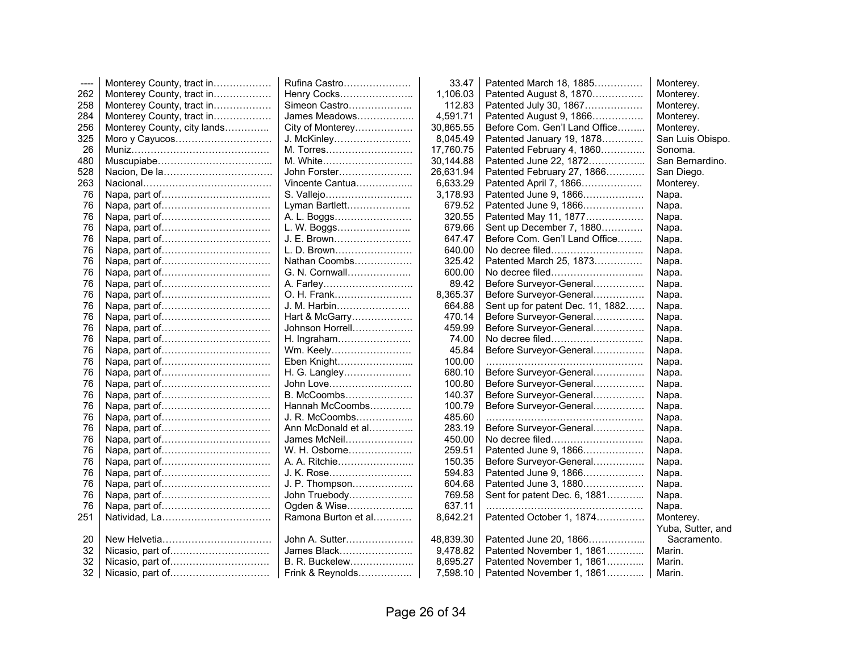| $---$ | Monterey County, tract in   | Rufina Castro       | 33.47     | Patented March 18, 1885          | Monterey.         |
|-------|-----------------------------|---------------------|-----------|----------------------------------|-------------------|
| 262   | Monterey County, tract in   | Henry Cocks         | 1,106.03  | Patented August 8, 1870          | Monterey.         |
| 258   | Monterey County, tract in   | Simeon Castro       | 112.83    | Patented July 30, 1867           | Monterey.         |
| 284   | Monterey County, tract in   | James Meadows       | 4,591.71  | Patented August 9, 1866          | Monterey.         |
| 256   | Monterey County, city lands | City of Monterey    | 30,865.55 | Before Com. Gen'l Land Office    | Monterey.         |
| 325   | Moro y Cayucos              | J. McKinley         | 8,045.49  | Patented January 19, 1878        | San Luis Obispo.  |
| 26    |                             | M. Torres           | 17,760.75 | Patented February 4, 1860        | Sonoma.           |
| 480   |                             | M. White            | 30,144.88 | Patented June 22, 1872           | San Bernardino.   |
| 528   |                             | John Forster        | 26,631.94 | Patented February 27, 1866       | San Diego.        |
| 263   |                             | Vincente Cantua     | 6,633.29  | Patented April 7, 1866           | Monterey.         |
| 76    |                             | S. Vallejo          | 3,178.93  | Patented June 9, 1866            | Napa.             |
| 76    |                             | Lyman Bartlett      | 679.52    | Patented June 9, 1866            | Napa.             |
| 76    |                             | A. L. Boggs         | 320.55    | Patented May 11, 1877            | Napa.             |
| 76    |                             | L. W. Boggs         | 679.66    | Sent up December 7, 1880         | Napa.             |
| 76    |                             | J. E. Brown         | 647.47    | Before Com. Gen'l Land Office    | Napa.             |
| 76    |                             | L. D. Brown         | 640.00    | No decree filed                  | Napa.             |
| 76    |                             | Nathan Coombs       | 325.42    | Patented March 25, 1873          | Napa.             |
| 76    |                             | G. N. Cornwall      | 600.00    | No decree filed                  | Napa.             |
| 76    |                             |                     | 89.42     | Before Surveyor-General          | Napa.             |
| 76    |                             | O. H. Frank         | 8,365.37  | Before Surveyor-General          | Napa.             |
| 76    |                             | J. M. Harbin        | 664.88    | Sent up for patent Dec. 11, 1882 | Napa.             |
| 76    |                             | Hart & McGarry      | 470.14    | Before Surveyor-General          | Napa.             |
| 76    |                             | Johnson Horrell     | 459.99    | Before Surveyor-General          | Napa.             |
| 76    |                             | H. Ingraham         | 74.00     | No decree filed                  | Napa.             |
| 76    |                             | Wm. Keely           | 45.84     | Before Surveyor-General          | Napa.             |
| 76    |                             | Eben Knight         | 100.00    |                                  | Napa.             |
| 76    |                             | H. G. Langley       | 680.10    | Before Surveyor-General          | Napa.             |
| 76    |                             | John Love           | 100.80    | Before Surveyor-General          | Napa.             |
| 76    |                             | B. McCoombs         | 140.37    | Before Surveyor-General          | Napa.             |
| 76    |                             | Hannah McCoombs     | 100.79    | Before Surveyor-General          | Napa.             |
| 76    |                             | J. R. McCoombs      | 485.60    |                                  | Napa.             |
| 76    |                             | Ann McDonald et al  | 283.19    | Before Surveyor-General          | Napa.             |
| 76    |                             | James McNeil        | 450.00    | No decree filed                  | Napa.             |
| 76    |                             | W. H. Osborne       | 259.51    | Patented June 9, 1866            | Napa.             |
| 76    |                             |                     | 150.35    | Before Surveyor-General          | Napa.             |
| 76    |                             | J. K. Rose          | 594.83    | Patented June 9, 1866            | Napa.             |
| 76    |                             | J. P. Thompson      | 604.68    | Patented June 3, 1880            | Napa.             |
| 76    |                             | John Truebody       | 769.58    | Sent for patent Dec. 6, 1881     | Napa.             |
| 76    |                             | Ogden & Wise        | 637.11    |                                  | Napa.             |
| 251   | Natividad, La               | Ramona Burton et al | 8,642.21  | Patented October 1, 1874         | Monterey.         |
|       |                             |                     |           |                                  | Yuba, Sutter, and |
| 20    |                             | John A. Sutter      | 48,839.30 | Patented June 20, 1866           | Sacramento.       |
| 32    |                             | James Black         | 9,478.82  | Patented November 1, 1861        | Marin.            |
| 32    |                             | B. R. Buckelew      | 8,695.27  | Patented November 1, 1861        | Marin.            |
| 32    |                             | Frink & Reynolds    | 7,598.10  | Patented November 1, 1861        | Marin.            |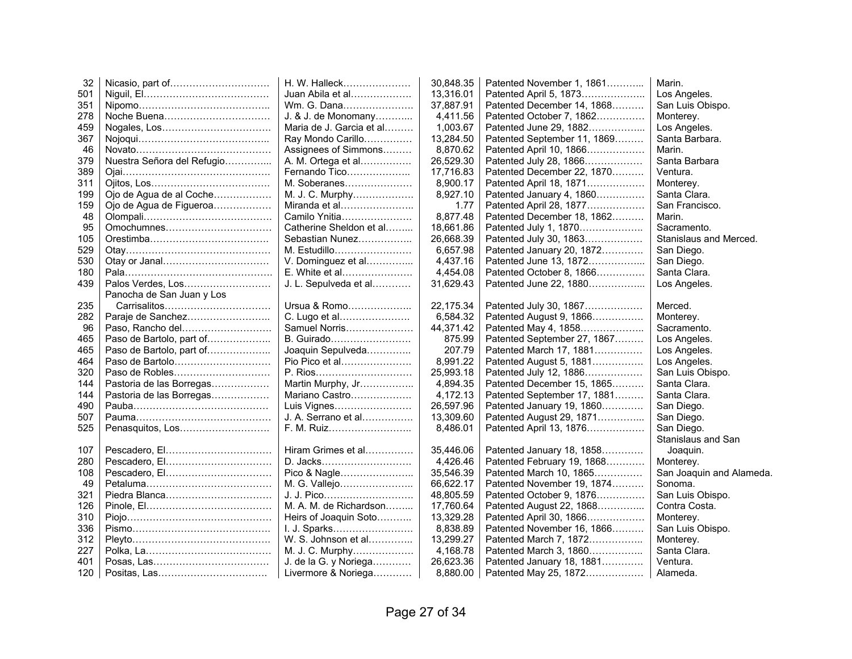| 32  |                            | H. W. Halleck            | 30,848.35 | Patented November 1, 1861   | Marin.                   |
|-----|----------------------------|--------------------------|-----------|-----------------------------|--------------------------|
| 501 |                            | Juan Abila et al         | 13,316.01 | Patented April 5, 1873      | Los Angeles.             |
| 351 |                            | Wm. G. Dana              | 37,887.91 | Patented December 14, 1868  | San Luis Obispo.         |
| 278 |                            | J. & J. de Monomany      | 4,411.56  | Patented October 7, 1862    | Monterey.                |
| 459 |                            | Maria de J. Garcia et al | 1,003.67  | Patented June 29, 1882      | Los Angeles.             |
| 367 |                            | Ray Mondo Carillo        | 13,284.50 | Patented September 11, 1869 | Santa Barbara.           |
| 46  |                            | Assignees of Simmons     | 8,870.62  | Patented April 10, 1866     | Marin.                   |
| 379 | Nuestra Señora del Refugio | A. M. Ortega et al       | 26,529.30 | Patented July 28, 1866      | Santa Barbara            |
| 389 |                            | Fernando Tico            | 17,716.83 | Patented December 22, 1870  | Ventura.                 |
| 311 |                            | M. Soberanes             | 8,900.17  | Patented April 18, 1871     | Monterey.                |
| 199 | Ojo de Agua de al Coche    | M. J. C. Murphy          | 8,927.10  | Patented January 4, 1860    | Santa Clara.             |
| 159 | Ojo de Agua de Figueroa    | Miranda et al            | 1.77      | Patented April 28, 1877     | San Francisco.           |
| 48  |                            | Camilo Ynitia            | 8,877.48  | Patented December 18, 1862  | Marin.                   |
| 95  | Omochumnes                 | Catherine Sheldon et al  | 18,661.86 | Patented July 1, 1870       | Sacramento.              |
| 105 |                            | Sebastian Nunez          | 26,668.39 | Patented July 30, 1863      | Stanislaus and Merced.   |
| 529 |                            | M. Estudillo             | 6,657.98  | Patented January 20, 1872   | San Diego.               |
| 530 |                            | V. Dominguez et al       | 4,437.16  | Patented June 13, 1872      | San Diego.               |
| 180 |                            | E. White et al           | 4,454.08  | Patented October 8, 1866    | Santa Clara.             |
| 439 | Palos Verdes, Los          | J. L. Sepulveda et al    | 31,629.43 | Patented June 22, 1880      | Los Angeles.             |
|     | Panocha de San Juan y Los  |                          |           |                             |                          |
| 235 | Carrisalitos               | Ursua & Romo             | 22,175.34 | Patented July 30, 1867      | Merced.                  |
| 282 | Paraje de Sanchez          | C. Lugo et al            | 6,584.32  | Patented August 9, 1866     | Monterey.                |
| 96  | Paso, Rancho del           | Samuel Norris            | 44,371.42 | Patented May 4, 1858        | Sacramento.              |
| 465 | Paso de Bartolo, part of   | B. Guirado               | 875.99    | Patented September 27, 1867 | Los Angeles.             |
| 465 | Paso de Bartolo, part of   | Joaquin Sepulveda        | 207.79    | Patented March 17, 1881     | Los Angeles.             |
| 464 | Paso de Bartolo            | Pio Pico et al           | 8,991.22  | Patented August 5, 1881     | Los Angeles.             |
| 320 | Paso de Robles             | P. Rios                  | 25,993.18 | Patented July 12, 1886      | San Luis Obispo.         |
| 144 | Pastoria de las Borregas   | Martin Murphy, Jr        | 4,894.35  | Patented December 15, 1865  | Santa Clara.             |
| 144 | Pastoria de las Borregas   | Mariano Castro           | 4,172.13  | Patented September 17, 1881 | Santa Clara.             |
| 490 |                            | Luis Vignes              | 26,597.96 | Patented January 19, 1860   | San Diego.               |
| 507 |                            | J. A. Serrano et al      | 13,309.60 | Patented August 29, 1871    | San Diego.               |
| 525 | Penasquitos, Los           | F. M. Ruiz               | 8,486.01  | Patented April 13, 1876     | San Diego.               |
|     |                            |                          |           |                             | Stanislaus and San       |
| 107 | Pescadero, El              | Hiram Grimes et al       | 35,446.06 | Patented January 18, 1858   | Joaquin.                 |
| 280 |                            | D. Jacks                 | 4,426.46  | Patented February 19, 1868  | Monterey.                |
| 108 | Pescadero, El              | Pico & Nagle             | 35,546.39 | Patented March 10, 1865     | San Joaquin and Alameda. |
| 49  |                            | M. G. Vallejo            | 66,622.17 | Patented November 19, 1874  | Sonoma.                  |
| 321 |                            | J. J. Pico               | 48,805.59 | Patented October 9, 1876    | San Luis Obispo.         |
| 126 |                            | M. A. M. de Richardson   | 17,760.64 | Patented August 22, 1868    | Contra Costa.            |
| 310 |                            | Heirs of Joaquin Soto    | 13,329.28 | Patented April 30, 1866     | Monterey.                |
| 336 |                            | I. J. Sparks             | 8,838.89  | Patented November 16, 1866  | San Luis Obispo.         |
| 312 |                            | W. S. Johnson et al      | 13,299.27 | Patented March 7, 1872      | Monterey.                |
| 227 |                            | M. J. C. Murphy          | 4,168.78  | Patented March 3, 1860      | Santa Clara.             |
| 401 |                            | J. de la G. y Noriega    | 26,623.36 | Patented January 18, 1881   | Ventura.                 |
| 120 |                            | Livermore & Noriega      | 8,880.00  | Patented May 25, 1872       | Alameda.                 |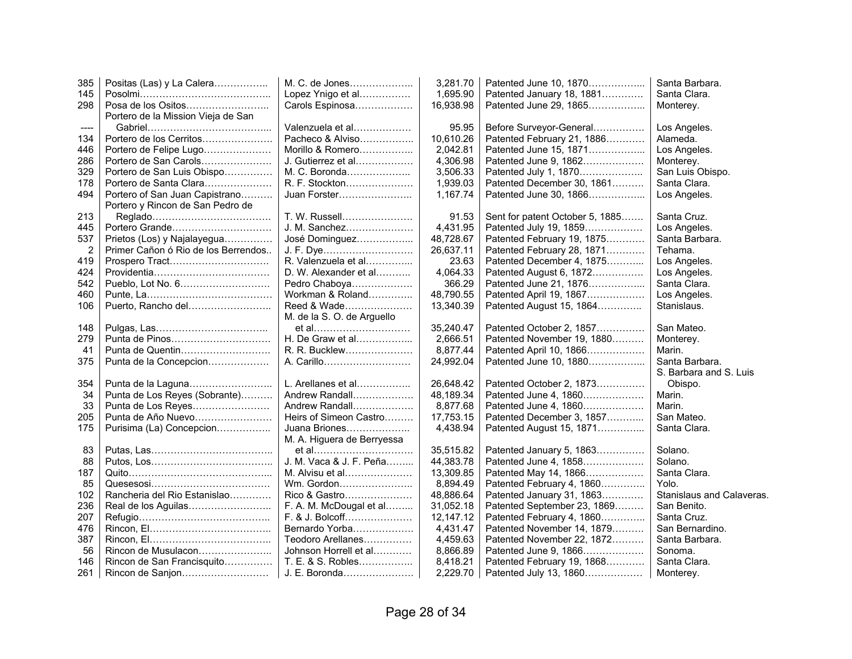| 385            | Positas (Las) y La Calera           | M. C. de Jones             | 3,281.70  | Patented June 10, 1870          | Santa Barbara.            |
|----------------|-------------------------------------|----------------------------|-----------|---------------------------------|---------------------------|
| 145            |                                     | Lopez Ynigo et al          | 1,695.90  | Patented January 18, 1881       | Santa Clara.              |
| 298            | Posa de los Ositos                  | Carols Espinosa            | 16,938.98 | Patented June 29, 1865          | Monterey.                 |
|                | Portero de la Mission Vieja de San  |                            |           |                                 |                           |
| ----           |                                     | Valenzuela et al           | 95.95     | Before Surveyor-General         | Los Angeles.              |
| 134            | Portero de los Cerritos             | Pacheco & Alviso           | 10,610.26 | Patented February 21, 1886      | Alameda.                  |
| 446            | Portero de Felipe Lugo              | Morillo & Romero           | 2,042.81  | Patented June 15, 1871          | Los Angeles.              |
| 286            | Portero de San Carols               | J. Gutierrez et al         | 4,306.98  | Patented June 9, 1862           | Monterey.                 |
| 329            | Portero de San Luis Obispo          | M. C. Boronda              | 3,506.33  | Patented July 1, 1870           | San Luis Obispo.          |
| 178            | Portero de Santa Clara              | R. F. Stockton             | 1,939.03  | Patented December 30, 1861      | Santa Clara.              |
| 494            | Portero of San Juan Capistrano      | Juan Forster               | 1,167.74  | Patented June 30, 1866          | Los Angeles.              |
|                | Portero y Rincon de San Pedro de    |                            |           |                                 |                           |
| 213            |                                     | T. W. Russell              | 91.53     | Sent for patent October 5, 1885 | Santa Cruz.               |
| 445            | Portero Grande                      | J. M. Sanchez              | 4,431.95  | Patented July 19, 1859          | Los Angeles.              |
| 537            | Prietos (Los) y Najalayegua         | José Dominguez             | 48,728.67 | Patented February 19, 1875      | Santa Barbara.            |
| $\overline{2}$ | Primer Cañon ó Rio de los Berrendos | J. F. Dye                  | 26,637.11 | Patented February 28, 1871      | Tehama.                   |
| 419            | Prospero Tract                      | R. Valenzuela et al        | 23.63     | Patented December 4, 1875       | Los Angeles.              |
| 424            |                                     | D. W. Alexander et al      | 4,064.33  | Patented August 6, 1872         | Los Angeles.              |
| 542            |                                     | Pedro Chaboya              | 366.29    | Patented June 21, 1876          | Santa Clara.              |
| 460            |                                     | Workman & Roland           | 48,790.55 | Patented April 19, 1867         | Los Angeles.              |
| 106            | Puerto, Rancho del                  | Reed & Wade                | 13,340.39 | Patented August 15, 1864        | Stanislaus.               |
|                |                                     | M. de la S. O. de Arguello |           |                                 |                           |
| 148            |                                     | et al                      | 35,240.47 | Patented October 2, 1857        | San Mateo.                |
| 279            | Punta de Pinos                      | H. De Graw et al           | 2.666.51  | Patented November 19, 1880      | Monterey.                 |
| 41             | Punta de Quentin                    | R. R. Bucklew              | 8,877.44  | Patented April 10, 1866         | Marin.                    |
| 375            | Punta de la Concepcion              | A. Carillo                 | 24,992.04 | Patented June 10, 1880          | Santa Barbara.            |
|                |                                     |                            |           |                                 | S. Barbara and S. Luis    |
| 354            | Punta de la Laguna                  | L. Arellanes et al         | 26,648.42 | Patented October 2, 1873        | Obispo.                   |
| 34             | Punta de Los Reyes (Sobrante)       | Andrew Randall             | 48,189.34 | Patented June 4, 1860           | Marin.                    |
| 33             | Punta de Los Reyes                  | Andrew Randall             | 8,877.68  | Patented June 4, 1860           | Marin.                    |
| 205            | Punta de Año Nuevo                  | Heirs of Simeon Castro     | 17,753.15 | Patented December 3, 1857       | San Mateo.                |
| 175            | Purisima (La) Concepcion            | Juana Briones              | 4,438.94  | Patented August 15, 1871        | Santa Clara.              |
|                |                                     | M. A. Higuera de Berryessa |           |                                 |                           |
| 83             |                                     | et al                      | 35,515.82 | Patented January 5, 1863        | Solano.                   |
| 88             |                                     | J. M. Vaca & J. F. Peña    | 44,383.78 | Patented June 4, 1858           | Solano.                   |
| 187            |                                     | M. Alvisu et al            | 13,309.85 | Patented May 14, 1866           | Santa Clara.              |
| 85             |                                     | Wm. Gordon                 | 8,894.49  | Patented February 4, 1860       | Yolo.                     |
| 102            | Rancheria del Rio Estanislao        | Rico & Gastro              | 48,886.64 | Patented January 31, 1863       | Stanislaus and Calaveras. |
| 236            | Real de los Aguilas                 | F. A. M. McDougal et al    | 31,052.18 | Patented September 23, 1869     | San Benito.               |
| 207            |                                     | F. & J. Bolcoff            | 12,147.12 | Patented February 4, 1860       | Santa Cruz.               |
| 476            |                                     | Bernardo Yorba             | 4,431.47  | Patented November 14, 1879      | San Bernardino.           |
| 387            |                                     | Teodoro Arellanes          | 4,459.63  | Patented November 22, 1872      | Santa Barbara.            |
| 56             | Rincon de Musulacon                 | Johnson Horrell et al      | 8,866.89  | Patented June 9, 1866           | Sonoma.                   |
| 146            | Rincon de San Francisquito          | T. E. & S. Robles          | 8,418.21  | Patented February 19, 1868      | Santa Clara.              |
| 261            | Rincon de Sanjon                    | J. E. Boronda              | 2,229.70  | Patented July 13, 1860          | Monterey.                 |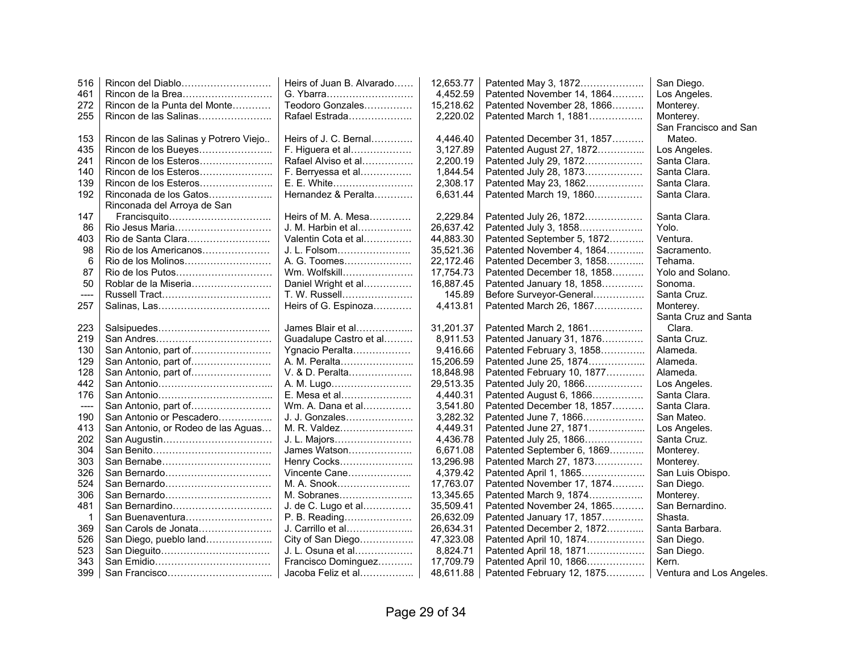| 4,452.59<br>Rincon de la Brea<br>G. Ybarra<br>Patented November 14, 1864<br>Los Angeles.<br>461<br>Rincon de la Punta del Monte<br>Teodoro Gonzales<br>15,218.62<br>272<br>Patented November 28, 1866<br>Monterey.<br>2,220.02<br>255<br>Rincon de las Salinas<br>Rafael Estrada<br>Patented March 1, 1881<br>Monterey.<br>San Francisco and San<br>Rincon de las Salinas y Potrero Viejo<br>Heirs of J. C. Bernal<br>4,446.40<br>Patented December 31, 1857<br>Mateo.<br>153<br>F. Higuera et al<br>3,127.89<br>Patented August 27, 1872<br>435<br>Rincon de los Bueyes<br>Los Angeles.<br>2,200.19<br>Santa Clara.<br>241<br>Rafael Alviso et al<br>Patented July 29, 1872<br>F. Berryessa et al<br>1,844.54<br>Patented July 28, 1873<br>Santa Clara.<br>140<br>Rincon de los Esteros<br>Rincon de los Esteros<br>E. E. White<br>2,308.17<br>Patented May 23, 1862<br>Santa Clara.<br>139<br>Hernandez & Peralta<br>6,631.44<br>192<br>Rinconada de los Gatos<br>Patented March 19, 1860<br>Santa Clara.<br>Rinconada del Arroya de San<br>147<br>2.229.84<br>Santa Clara.<br>Heirs of M. A. Mesa<br>Patented July 26, 1872<br>J. M. Harbin et al<br>26,637.42<br>Rio Jesus Maria<br>Patented July 3, 1858<br>Yolo.<br>86<br>44,883.30<br>Valentin Cota et al<br>Patented September 5, 1872<br>Ventura.<br>403<br>J. L. Folsom<br>98<br>Rio de los Americanos<br>35,521.36<br>Patented November 4, 1864<br>Sacramento.<br>6<br>A. G. Toomes<br>22,172.46<br>Patented December 3, 1858<br>Tehama.<br>Wm. Wolfskill<br>17,754.73<br>Patented December 18, 1858<br>Yolo and Solano.<br>87<br>16,887.45<br>Sonoma.<br>50<br>Roblar de la Miseria<br>Daniel Wright et al<br>Patented January 18, 1858<br>T. W. Russell<br>145.89<br>Before Surveyor-General<br>Santa Cruz.<br>----<br>Heirs of G. Espinoza<br>4,413.81<br>Patented March 26, 1867<br>Monterey.<br>257<br>Santa Cruz and Santa<br>James Blair et al<br>31,201.37<br>Clara.<br>223<br>Patented March 2, 1861<br>Santa Cruz.<br>Guadalupe Castro et al<br>8,911.53<br>219<br>Patented January 31, 1876<br>San Antonio, part of<br>Ygnacio Peralta<br>9,416.66<br>Patented February 3, 1858<br>Alameda.<br>130<br>A. M. Peralta<br>15,206.59<br>Patented June 25, 1874<br>Alameda.<br>129<br>San Antonio, part of<br>V. & D. Peralta<br>18.848.98<br>Patented February 10, 1877<br>Alameda.<br>128<br>A. M. Lugo<br>29,513.35<br>Patented July 20, 1866<br>442<br>Los Angeles.<br>E. Mesa et al<br>4,440.31<br>Patented August 6, 1866<br>Santa Clara.<br>176<br>Wm. A. Dana et al<br>3.541.80<br>Patented December 18, 1857<br>Santa Clara.<br>San Antonio, part of<br>----<br>J. J. Gonzales<br>San Antonio or Pescadero<br>3,282.32<br>Patented June 7, 1866<br>San Mateo.<br>190<br>San Antonio, or Rodeo de las Aguas<br>M. R. Valdez<br>4,449.31<br>Patented June 27, 1871<br>Los Angeles.<br>413<br>202<br>4,436.78<br>J. L. Majors<br>Patented July 25, 1866<br>Santa Cruz.<br>304<br>James Watson<br>6,671.08<br>Patented September 6, 1869<br>Monterey.<br>13,296.98<br>303<br>Henry Cocks<br>Patented March 27, 1873<br>Monterey.<br>326<br>Vincente Cane<br>4,379.42<br>San Luis Obispo.<br>Patented April 1, 1865<br>San Bernardo<br>17,763.07<br>San Diego.<br>524<br>M. A. Snook<br>Patented November 17, 1874<br>306<br>San Bernardo<br>13,345.65<br>M. Sobranes<br>Patented March 9, 1874<br>Monterey.<br>35,509.41<br>San Bernardino.<br>481<br>San Bernardino<br>J. de C. Lugo et al<br>Patented November 24, 1865<br>P. B. Reading<br>26,632.09<br>Shasta.<br>1<br>San Buenaventura<br>Patented January 17, 1857<br>J. Carrillo et al<br>26,634.31<br>Patented December 2, 1872<br>Santa Barbara.<br>San Carols de Jonata<br>369 | 516 | Rincon del Diablo      | Heirs of Juan B. Alvarado | 12,653.77 | Patented May 3, 1872 | San Diego.               |
|----------------------------------------------------------------------------------------------------------------------------------------------------------------------------------------------------------------------------------------------------------------------------------------------------------------------------------------------------------------------------------------------------------------------------------------------------------------------------------------------------------------------------------------------------------------------------------------------------------------------------------------------------------------------------------------------------------------------------------------------------------------------------------------------------------------------------------------------------------------------------------------------------------------------------------------------------------------------------------------------------------------------------------------------------------------------------------------------------------------------------------------------------------------------------------------------------------------------------------------------------------------------------------------------------------------------------------------------------------------------------------------------------------------------------------------------------------------------------------------------------------------------------------------------------------------------------------------------------------------------------------------------------------------------------------------------------------------------------------------------------------------------------------------------------------------------------------------------------------------------------------------------------------------------------------------------------------------------------------------------------------------------------------------------------------------------------------------------------------------------------------------------------------------------------------------------------------------------------------------------------------------------------------------------------------------------------------------------------------------------------------------------------------------------------------------------------------------------------------------------------------------------------------------------------------------------------------------------------------------------------------------------------------------------------------------------------------------------------------------------------------------------------------------------------------------------------------------------------------------------------------------------------------------------------------------------------------------------------------------------------------------------------------------------------------------------------------------------------------------------------------------------------------------------------------------------------------------------------------------------------------------------------------------------------------------------------------------------------------------------------------------------------------------------------------------------------------------------------------------------------------------------------------------------------------------------------------------------------------------------------------------------------------------------------------------------------------------|-----|------------------------|---------------------------|-----------|----------------------|--------------------------|
|                                                                                                                                                                                                                                                                                                                                                                                                                                                                                                                                                                                                                                                                                                                                                                                                                                                                                                                                                                                                                                                                                                                                                                                                                                                                                                                                                                                                                                                                                                                                                                                                                                                                                                                                                                                                                                                                                                                                                                                                                                                                                                                                                                                                                                                                                                                                                                                                                                                                                                                                                                                                                                                                                                                                                                                                                                                                                                                                                                                                                                                                                                                                                                                                                                                                                                                                                                                                                                                                                                                                                                                                                                                                                                                |     |                        |                           |           |                      |                          |
|                                                                                                                                                                                                                                                                                                                                                                                                                                                                                                                                                                                                                                                                                                                                                                                                                                                                                                                                                                                                                                                                                                                                                                                                                                                                                                                                                                                                                                                                                                                                                                                                                                                                                                                                                                                                                                                                                                                                                                                                                                                                                                                                                                                                                                                                                                                                                                                                                                                                                                                                                                                                                                                                                                                                                                                                                                                                                                                                                                                                                                                                                                                                                                                                                                                                                                                                                                                                                                                                                                                                                                                                                                                                                                                |     |                        |                           |           |                      |                          |
|                                                                                                                                                                                                                                                                                                                                                                                                                                                                                                                                                                                                                                                                                                                                                                                                                                                                                                                                                                                                                                                                                                                                                                                                                                                                                                                                                                                                                                                                                                                                                                                                                                                                                                                                                                                                                                                                                                                                                                                                                                                                                                                                                                                                                                                                                                                                                                                                                                                                                                                                                                                                                                                                                                                                                                                                                                                                                                                                                                                                                                                                                                                                                                                                                                                                                                                                                                                                                                                                                                                                                                                                                                                                                                                |     |                        |                           |           |                      |                          |
|                                                                                                                                                                                                                                                                                                                                                                                                                                                                                                                                                                                                                                                                                                                                                                                                                                                                                                                                                                                                                                                                                                                                                                                                                                                                                                                                                                                                                                                                                                                                                                                                                                                                                                                                                                                                                                                                                                                                                                                                                                                                                                                                                                                                                                                                                                                                                                                                                                                                                                                                                                                                                                                                                                                                                                                                                                                                                                                                                                                                                                                                                                                                                                                                                                                                                                                                                                                                                                                                                                                                                                                                                                                                                                                |     |                        |                           |           |                      |                          |
|                                                                                                                                                                                                                                                                                                                                                                                                                                                                                                                                                                                                                                                                                                                                                                                                                                                                                                                                                                                                                                                                                                                                                                                                                                                                                                                                                                                                                                                                                                                                                                                                                                                                                                                                                                                                                                                                                                                                                                                                                                                                                                                                                                                                                                                                                                                                                                                                                                                                                                                                                                                                                                                                                                                                                                                                                                                                                                                                                                                                                                                                                                                                                                                                                                                                                                                                                                                                                                                                                                                                                                                                                                                                                                                |     |                        |                           |           |                      |                          |
|                                                                                                                                                                                                                                                                                                                                                                                                                                                                                                                                                                                                                                                                                                                                                                                                                                                                                                                                                                                                                                                                                                                                                                                                                                                                                                                                                                                                                                                                                                                                                                                                                                                                                                                                                                                                                                                                                                                                                                                                                                                                                                                                                                                                                                                                                                                                                                                                                                                                                                                                                                                                                                                                                                                                                                                                                                                                                                                                                                                                                                                                                                                                                                                                                                                                                                                                                                                                                                                                                                                                                                                                                                                                                                                |     |                        |                           |           |                      |                          |
|                                                                                                                                                                                                                                                                                                                                                                                                                                                                                                                                                                                                                                                                                                                                                                                                                                                                                                                                                                                                                                                                                                                                                                                                                                                                                                                                                                                                                                                                                                                                                                                                                                                                                                                                                                                                                                                                                                                                                                                                                                                                                                                                                                                                                                                                                                                                                                                                                                                                                                                                                                                                                                                                                                                                                                                                                                                                                                                                                                                                                                                                                                                                                                                                                                                                                                                                                                                                                                                                                                                                                                                                                                                                                                                |     |                        |                           |           |                      |                          |
|                                                                                                                                                                                                                                                                                                                                                                                                                                                                                                                                                                                                                                                                                                                                                                                                                                                                                                                                                                                                                                                                                                                                                                                                                                                                                                                                                                                                                                                                                                                                                                                                                                                                                                                                                                                                                                                                                                                                                                                                                                                                                                                                                                                                                                                                                                                                                                                                                                                                                                                                                                                                                                                                                                                                                                                                                                                                                                                                                                                                                                                                                                                                                                                                                                                                                                                                                                                                                                                                                                                                                                                                                                                                                                                |     |                        |                           |           |                      |                          |
|                                                                                                                                                                                                                                                                                                                                                                                                                                                                                                                                                                                                                                                                                                                                                                                                                                                                                                                                                                                                                                                                                                                                                                                                                                                                                                                                                                                                                                                                                                                                                                                                                                                                                                                                                                                                                                                                                                                                                                                                                                                                                                                                                                                                                                                                                                                                                                                                                                                                                                                                                                                                                                                                                                                                                                                                                                                                                                                                                                                                                                                                                                                                                                                                                                                                                                                                                                                                                                                                                                                                                                                                                                                                                                                |     |                        |                           |           |                      |                          |
|                                                                                                                                                                                                                                                                                                                                                                                                                                                                                                                                                                                                                                                                                                                                                                                                                                                                                                                                                                                                                                                                                                                                                                                                                                                                                                                                                                                                                                                                                                                                                                                                                                                                                                                                                                                                                                                                                                                                                                                                                                                                                                                                                                                                                                                                                                                                                                                                                                                                                                                                                                                                                                                                                                                                                                                                                                                                                                                                                                                                                                                                                                                                                                                                                                                                                                                                                                                                                                                                                                                                                                                                                                                                                                                |     |                        |                           |           |                      |                          |
|                                                                                                                                                                                                                                                                                                                                                                                                                                                                                                                                                                                                                                                                                                                                                                                                                                                                                                                                                                                                                                                                                                                                                                                                                                                                                                                                                                                                                                                                                                                                                                                                                                                                                                                                                                                                                                                                                                                                                                                                                                                                                                                                                                                                                                                                                                                                                                                                                                                                                                                                                                                                                                                                                                                                                                                                                                                                                                                                                                                                                                                                                                                                                                                                                                                                                                                                                                                                                                                                                                                                                                                                                                                                                                                |     |                        |                           |           |                      |                          |
|                                                                                                                                                                                                                                                                                                                                                                                                                                                                                                                                                                                                                                                                                                                                                                                                                                                                                                                                                                                                                                                                                                                                                                                                                                                                                                                                                                                                                                                                                                                                                                                                                                                                                                                                                                                                                                                                                                                                                                                                                                                                                                                                                                                                                                                                                                                                                                                                                                                                                                                                                                                                                                                                                                                                                                                                                                                                                                                                                                                                                                                                                                                                                                                                                                                                                                                                                                                                                                                                                                                                                                                                                                                                                                                |     |                        |                           |           |                      |                          |
|                                                                                                                                                                                                                                                                                                                                                                                                                                                                                                                                                                                                                                                                                                                                                                                                                                                                                                                                                                                                                                                                                                                                                                                                                                                                                                                                                                                                                                                                                                                                                                                                                                                                                                                                                                                                                                                                                                                                                                                                                                                                                                                                                                                                                                                                                                                                                                                                                                                                                                                                                                                                                                                                                                                                                                                                                                                                                                                                                                                                                                                                                                                                                                                                                                                                                                                                                                                                                                                                                                                                                                                                                                                                                                                |     |                        |                           |           |                      |                          |
|                                                                                                                                                                                                                                                                                                                                                                                                                                                                                                                                                                                                                                                                                                                                                                                                                                                                                                                                                                                                                                                                                                                                                                                                                                                                                                                                                                                                                                                                                                                                                                                                                                                                                                                                                                                                                                                                                                                                                                                                                                                                                                                                                                                                                                                                                                                                                                                                                                                                                                                                                                                                                                                                                                                                                                                                                                                                                                                                                                                                                                                                                                                                                                                                                                                                                                                                                                                                                                                                                                                                                                                                                                                                                                                |     |                        |                           |           |                      |                          |
|                                                                                                                                                                                                                                                                                                                                                                                                                                                                                                                                                                                                                                                                                                                                                                                                                                                                                                                                                                                                                                                                                                                                                                                                                                                                                                                                                                                                                                                                                                                                                                                                                                                                                                                                                                                                                                                                                                                                                                                                                                                                                                                                                                                                                                                                                                                                                                                                                                                                                                                                                                                                                                                                                                                                                                                                                                                                                                                                                                                                                                                                                                                                                                                                                                                                                                                                                                                                                                                                                                                                                                                                                                                                                                                |     |                        |                           |           |                      |                          |
|                                                                                                                                                                                                                                                                                                                                                                                                                                                                                                                                                                                                                                                                                                                                                                                                                                                                                                                                                                                                                                                                                                                                                                                                                                                                                                                                                                                                                                                                                                                                                                                                                                                                                                                                                                                                                                                                                                                                                                                                                                                                                                                                                                                                                                                                                                                                                                                                                                                                                                                                                                                                                                                                                                                                                                                                                                                                                                                                                                                                                                                                                                                                                                                                                                                                                                                                                                                                                                                                                                                                                                                                                                                                                                                |     |                        |                           |           |                      |                          |
|                                                                                                                                                                                                                                                                                                                                                                                                                                                                                                                                                                                                                                                                                                                                                                                                                                                                                                                                                                                                                                                                                                                                                                                                                                                                                                                                                                                                                                                                                                                                                                                                                                                                                                                                                                                                                                                                                                                                                                                                                                                                                                                                                                                                                                                                                                                                                                                                                                                                                                                                                                                                                                                                                                                                                                                                                                                                                                                                                                                                                                                                                                                                                                                                                                                                                                                                                                                                                                                                                                                                                                                                                                                                                                                |     |                        |                           |           |                      |                          |
|                                                                                                                                                                                                                                                                                                                                                                                                                                                                                                                                                                                                                                                                                                                                                                                                                                                                                                                                                                                                                                                                                                                                                                                                                                                                                                                                                                                                                                                                                                                                                                                                                                                                                                                                                                                                                                                                                                                                                                                                                                                                                                                                                                                                                                                                                                                                                                                                                                                                                                                                                                                                                                                                                                                                                                                                                                                                                                                                                                                                                                                                                                                                                                                                                                                                                                                                                                                                                                                                                                                                                                                                                                                                                                                |     |                        |                           |           |                      |                          |
|                                                                                                                                                                                                                                                                                                                                                                                                                                                                                                                                                                                                                                                                                                                                                                                                                                                                                                                                                                                                                                                                                                                                                                                                                                                                                                                                                                                                                                                                                                                                                                                                                                                                                                                                                                                                                                                                                                                                                                                                                                                                                                                                                                                                                                                                                                                                                                                                                                                                                                                                                                                                                                                                                                                                                                                                                                                                                                                                                                                                                                                                                                                                                                                                                                                                                                                                                                                                                                                                                                                                                                                                                                                                                                                |     |                        |                           |           |                      |                          |
|                                                                                                                                                                                                                                                                                                                                                                                                                                                                                                                                                                                                                                                                                                                                                                                                                                                                                                                                                                                                                                                                                                                                                                                                                                                                                                                                                                                                                                                                                                                                                                                                                                                                                                                                                                                                                                                                                                                                                                                                                                                                                                                                                                                                                                                                                                                                                                                                                                                                                                                                                                                                                                                                                                                                                                                                                                                                                                                                                                                                                                                                                                                                                                                                                                                                                                                                                                                                                                                                                                                                                                                                                                                                                                                |     |                        |                           |           |                      |                          |
|                                                                                                                                                                                                                                                                                                                                                                                                                                                                                                                                                                                                                                                                                                                                                                                                                                                                                                                                                                                                                                                                                                                                                                                                                                                                                                                                                                                                                                                                                                                                                                                                                                                                                                                                                                                                                                                                                                                                                                                                                                                                                                                                                                                                                                                                                                                                                                                                                                                                                                                                                                                                                                                                                                                                                                                                                                                                                                                                                                                                                                                                                                                                                                                                                                                                                                                                                                                                                                                                                                                                                                                                                                                                                                                |     |                        |                           |           |                      |                          |
|                                                                                                                                                                                                                                                                                                                                                                                                                                                                                                                                                                                                                                                                                                                                                                                                                                                                                                                                                                                                                                                                                                                                                                                                                                                                                                                                                                                                                                                                                                                                                                                                                                                                                                                                                                                                                                                                                                                                                                                                                                                                                                                                                                                                                                                                                                                                                                                                                                                                                                                                                                                                                                                                                                                                                                                                                                                                                                                                                                                                                                                                                                                                                                                                                                                                                                                                                                                                                                                                                                                                                                                                                                                                                                                |     |                        |                           |           |                      |                          |
|                                                                                                                                                                                                                                                                                                                                                                                                                                                                                                                                                                                                                                                                                                                                                                                                                                                                                                                                                                                                                                                                                                                                                                                                                                                                                                                                                                                                                                                                                                                                                                                                                                                                                                                                                                                                                                                                                                                                                                                                                                                                                                                                                                                                                                                                                                                                                                                                                                                                                                                                                                                                                                                                                                                                                                                                                                                                                                                                                                                                                                                                                                                                                                                                                                                                                                                                                                                                                                                                                                                                                                                                                                                                                                                |     |                        |                           |           |                      |                          |
|                                                                                                                                                                                                                                                                                                                                                                                                                                                                                                                                                                                                                                                                                                                                                                                                                                                                                                                                                                                                                                                                                                                                                                                                                                                                                                                                                                                                                                                                                                                                                                                                                                                                                                                                                                                                                                                                                                                                                                                                                                                                                                                                                                                                                                                                                                                                                                                                                                                                                                                                                                                                                                                                                                                                                                                                                                                                                                                                                                                                                                                                                                                                                                                                                                                                                                                                                                                                                                                                                                                                                                                                                                                                                                                |     |                        |                           |           |                      |                          |
|                                                                                                                                                                                                                                                                                                                                                                                                                                                                                                                                                                                                                                                                                                                                                                                                                                                                                                                                                                                                                                                                                                                                                                                                                                                                                                                                                                                                                                                                                                                                                                                                                                                                                                                                                                                                                                                                                                                                                                                                                                                                                                                                                                                                                                                                                                                                                                                                                                                                                                                                                                                                                                                                                                                                                                                                                                                                                                                                                                                                                                                                                                                                                                                                                                                                                                                                                                                                                                                                                                                                                                                                                                                                                                                |     |                        |                           |           |                      |                          |
|                                                                                                                                                                                                                                                                                                                                                                                                                                                                                                                                                                                                                                                                                                                                                                                                                                                                                                                                                                                                                                                                                                                                                                                                                                                                                                                                                                                                                                                                                                                                                                                                                                                                                                                                                                                                                                                                                                                                                                                                                                                                                                                                                                                                                                                                                                                                                                                                                                                                                                                                                                                                                                                                                                                                                                                                                                                                                                                                                                                                                                                                                                                                                                                                                                                                                                                                                                                                                                                                                                                                                                                                                                                                                                                |     |                        |                           |           |                      |                          |
|                                                                                                                                                                                                                                                                                                                                                                                                                                                                                                                                                                                                                                                                                                                                                                                                                                                                                                                                                                                                                                                                                                                                                                                                                                                                                                                                                                                                                                                                                                                                                                                                                                                                                                                                                                                                                                                                                                                                                                                                                                                                                                                                                                                                                                                                                                                                                                                                                                                                                                                                                                                                                                                                                                                                                                                                                                                                                                                                                                                                                                                                                                                                                                                                                                                                                                                                                                                                                                                                                                                                                                                                                                                                                                                |     |                        |                           |           |                      |                          |
|                                                                                                                                                                                                                                                                                                                                                                                                                                                                                                                                                                                                                                                                                                                                                                                                                                                                                                                                                                                                                                                                                                                                                                                                                                                                                                                                                                                                                                                                                                                                                                                                                                                                                                                                                                                                                                                                                                                                                                                                                                                                                                                                                                                                                                                                                                                                                                                                                                                                                                                                                                                                                                                                                                                                                                                                                                                                                                                                                                                                                                                                                                                                                                                                                                                                                                                                                                                                                                                                                                                                                                                                                                                                                                                |     |                        |                           |           |                      |                          |
|                                                                                                                                                                                                                                                                                                                                                                                                                                                                                                                                                                                                                                                                                                                                                                                                                                                                                                                                                                                                                                                                                                                                                                                                                                                                                                                                                                                                                                                                                                                                                                                                                                                                                                                                                                                                                                                                                                                                                                                                                                                                                                                                                                                                                                                                                                                                                                                                                                                                                                                                                                                                                                                                                                                                                                                                                                                                                                                                                                                                                                                                                                                                                                                                                                                                                                                                                                                                                                                                                                                                                                                                                                                                                                                |     |                        |                           |           |                      |                          |
|                                                                                                                                                                                                                                                                                                                                                                                                                                                                                                                                                                                                                                                                                                                                                                                                                                                                                                                                                                                                                                                                                                                                                                                                                                                                                                                                                                                                                                                                                                                                                                                                                                                                                                                                                                                                                                                                                                                                                                                                                                                                                                                                                                                                                                                                                                                                                                                                                                                                                                                                                                                                                                                                                                                                                                                                                                                                                                                                                                                                                                                                                                                                                                                                                                                                                                                                                                                                                                                                                                                                                                                                                                                                                                                |     |                        |                           |           |                      |                          |
|                                                                                                                                                                                                                                                                                                                                                                                                                                                                                                                                                                                                                                                                                                                                                                                                                                                                                                                                                                                                                                                                                                                                                                                                                                                                                                                                                                                                                                                                                                                                                                                                                                                                                                                                                                                                                                                                                                                                                                                                                                                                                                                                                                                                                                                                                                                                                                                                                                                                                                                                                                                                                                                                                                                                                                                                                                                                                                                                                                                                                                                                                                                                                                                                                                                                                                                                                                                                                                                                                                                                                                                                                                                                                                                |     |                        |                           |           |                      |                          |
|                                                                                                                                                                                                                                                                                                                                                                                                                                                                                                                                                                                                                                                                                                                                                                                                                                                                                                                                                                                                                                                                                                                                                                                                                                                                                                                                                                                                                                                                                                                                                                                                                                                                                                                                                                                                                                                                                                                                                                                                                                                                                                                                                                                                                                                                                                                                                                                                                                                                                                                                                                                                                                                                                                                                                                                                                                                                                                                                                                                                                                                                                                                                                                                                                                                                                                                                                                                                                                                                                                                                                                                                                                                                                                                |     |                        |                           |           |                      |                          |
|                                                                                                                                                                                                                                                                                                                                                                                                                                                                                                                                                                                                                                                                                                                                                                                                                                                                                                                                                                                                                                                                                                                                                                                                                                                                                                                                                                                                                                                                                                                                                                                                                                                                                                                                                                                                                                                                                                                                                                                                                                                                                                                                                                                                                                                                                                                                                                                                                                                                                                                                                                                                                                                                                                                                                                                                                                                                                                                                                                                                                                                                                                                                                                                                                                                                                                                                                                                                                                                                                                                                                                                                                                                                                                                |     |                        |                           |           |                      |                          |
|                                                                                                                                                                                                                                                                                                                                                                                                                                                                                                                                                                                                                                                                                                                                                                                                                                                                                                                                                                                                                                                                                                                                                                                                                                                                                                                                                                                                                                                                                                                                                                                                                                                                                                                                                                                                                                                                                                                                                                                                                                                                                                                                                                                                                                                                                                                                                                                                                                                                                                                                                                                                                                                                                                                                                                                                                                                                                                                                                                                                                                                                                                                                                                                                                                                                                                                                                                                                                                                                                                                                                                                                                                                                                                                |     |                        |                           |           |                      |                          |
|                                                                                                                                                                                                                                                                                                                                                                                                                                                                                                                                                                                                                                                                                                                                                                                                                                                                                                                                                                                                                                                                                                                                                                                                                                                                                                                                                                                                                                                                                                                                                                                                                                                                                                                                                                                                                                                                                                                                                                                                                                                                                                                                                                                                                                                                                                                                                                                                                                                                                                                                                                                                                                                                                                                                                                                                                                                                                                                                                                                                                                                                                                                                                                                                                                                                                                                                                                                                                                                                                                                                                                                                                                                                                                                |     |                        |                           |           |                      |                          |
|                                                                                                                                                                                                                                                                                                                                                                                                                                                                                                                                                                                                                                                                                                                                                                                                                                                                                                                                                                                                                                                                                                                                                                                                                                                                                                                                                                                                                                                                                                                                                                                                                                                                                                                                                                                                                                                                                                                                                                                                                                                                                                                                                                                                                                                                                                                                                                                                                                                                                                                                                                                                                                                                                                                                                                                                                                                                                                                                                                                                                                                                                                                                                                                                                                                                                                                                                                                                                                                                                                                                                                                                                                                                                                                |     |                        |                           |           |                      |                          |
|                                                                                                                                                                                                                                                                                                                                                                                                                                                                                                                                                                                                                                                                                                                                                                                                                                                                                                                                                                                                                                                                                                                                                                                                                                                                                                                                                                                                                                                                                                                                                                                                                                                                                                                                                                                                                                                                                                                                                                                                                                                                                                                                                                                                                                                                                                                                                                                                                                                                                                                                                                                                                                                                                                                                                                                                                                                                                                                                                                                                                                                                                                                                                                                                                                                                                                                                                                                                                                                                                                                                                                                                                                                                                                                |     |                        |                           |           |                      |                          |
|                                                                                                                                                                                                                                                                                                                                                                                                                                                                                                                                                                                                                                                                                                                                                                                                                                                                                                                                                                                                                                                                                                                                                                                                                                                                                                                                                                                                                                                                                                                                                                                                                                                                                                                                                                                                                                                                                                                                                                                                                                                                                                                                                                                                                                                                                                                                                                                                                                                                                                                                                                                                                                                                                                                                                                                                                                                                                                                                                                                                                                                                                                                                                                                                                                                                                                                                                                                                                                                                                                                                                                                                                                                                                                                |     |                        |                           |           |                      |                          |
|                                                                                                                                                                                                                                                                                                                                                                                                                                                                                                                                                                                                                                                                                                                                                                                                                                                                                                                                                                                                                                                                                                                                                                                                                                                                                                                                                                                                                                                                                                                                                                                                                                                                                                                                                                                                                                                                                                                                                                                                                                                                                                                                                                                                                                                                                                                                                                                                                                                                                                                                                                                                                                                                                                                                                                                                                                                                                                                                                                                                                                                                                                                                                                                                                                                                                                                                                                                                                                                                                                                                                                                                                                                                                                                |     |                        |                           |           |                      |                          |
|                                                                                                                                                                                                                                                                                                                                                                                                                                                                                                                                                                                                                                                                                                                                                                                                                                                                                                                                                                                                                                                                                                                                                                                                                                                                                                                                                                                                                                                                                                                                                                                                                                                                                                                                                                                                                                                                                                                                                                                                                                                                                                                                                                                                                                                                                                                                                                                                                                                                                                                                                                                                                                                                                                                                                                                                                                                                                                                                                                                                                                                                                                                                                                                                                                                                                                                                                                                                                                                                                                                                                                                                                                                                                                                |     |                        |                           |           |                      |                          |
| 526<br>Patented April 10, 1874<br>San Diego.                                                                                                                                                                                                                                                                                                                                                                                                                                                                                                                                                                                                                                                                                                                                                                                                                                                                                                                                                                                                                                                                                                                                                                                                                                                                                                                                                                                                                                                                                                                                                                                                                                                                                                                                                                                                                                                                                                                                                                                                                                                                                                                                                                                                                                                                                                                                                                                                                                                                                                                                                                                                                                                                                                                                                                                                                                                                                                                                                                                                                                                                                                                                                                                                                                                                                                                                                                                                                                                                                                                                                                                                                                                                   |     | San Diego, pueblo land | City of San Diego         | 47,323.08 |                      |                          |
| J. L. Osuna et al<br>8,824.71<br>523<br>Patented April 18, 1871<br>San Diego.                                                                                                                                                                                                                                                                                                                                                                                                                                                                                                                                                                                                                                                                                                                                                                                                                                                                                                                                                                                                                                                                                                                                                                                                                                                                                                                                                                                                                                                                                                                                                                                                                                                                                                                                                                                                                                                                                                                                                                                                                                                                                                                                                                                                                                                                                                                                                                                                                                                                                                                                                                                                                                                                                                                                                                                                                                                                                                                                                                                                                                                                                                                                                                                                                                                                                                                                                                                                                                                                                                                                                                                                                                  |     |                        |                           |           |                      |                          |
| 343<br>Francisco Dominguez<br>17.709.79<br>Patented April 10, 1866<br>Kern.                                                                                                                                                                                                                                                                                                                                                                                                                                                                                                                                                                                                                                                                                                                                                                                                                                                                                                                                                                                                                                                                                                                                                                                                                                                                                                                                                                                                                                                                                                                                                                                                                                                                                                                                                                                                                                                                                                                                                                                                                                                                                                                                                                                                                                                                                                                                                                                                                                                                                                                                                                                                                                                                                                                                                                                                                                                                                                                                                                                                                                                                                                                                                                                                                                                                                                                                                                                                                                                                                                                                                                                                                                    |     |                        |                           |           |                      |                          |
| 399<br>Jacoba Feliz et al<br>48,611.88<br>Patented February 12, 1875                                                                                                                                                                                                                                                                                                                                                                                                                                                                                                                                                                                                                                                                                                                                                                                                                                                                                                                                                                                                                                                                                                                                                                                                                                                                                                                                                                                                                                                                                                                                                                                                                                                                                                                                                                                                                                                                                                                                                                                                                                                                                                                                                                                                                                                                                                                                                                                                                                                                                                                                                                                                                                                                                                                                                                                                                                                                                                                                                                                                                                                                                                                                                                                                                                                                                                                                                                                                                                                                                                                                                                                                                                           |     |                        |                           |           |                      | Ventura and Los Angeles. |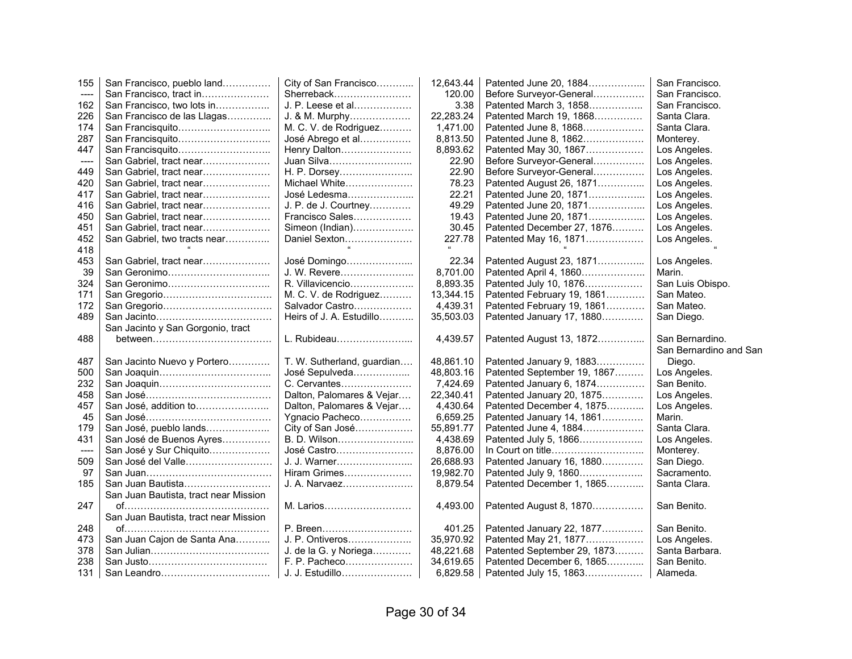| 155        | San Francisco, pueblo land            | City of San Francisco                   | 12,643.44             | Patented June 20, 1884                              | San Francisco.          |
|------------|---------------------------------------|-----------------------------------------|-----------------------|-----------------------------------------------------|-------------------------|
| $\cdots$   | San Francisco, tract in               | Sherreback                              | 120.00                | Before Surveyor-General                             | San Francisco.          |
| 162        | San Francisco, two lots in            | J. P. Leese et al                       | 3.38                  | Patented March 3, 1858                              | San Francisco.          |
| 226        | San Francisco de las Llagas           | J. & M. Murphy                          | 22,283.24             | Patented March 19, 1868                             | Santa Clara.            |
| 174        |                                       | M. C. V. de Rodriguez                   | 1,471.00              | Patented June 8, 1868                               | Santa Clara.            |
| 287        | San Francisquito                      | José Abrego et al                       | 8,813.50              | Patented June 8, 1862                               | Monterey.               |
| 447        | San Francisquito                      | Henry Dalton                            | 8,893.62              | Patented May 30, 1867                               | Los Angeles.            |
| ----       | San Gabriel, tract near               | Juan Silva                              | 22.90                 | Before Surveyor-General                             | Los Angeles.            |
| 449        | San Gabriel, tract near               | H. P. Dorsey                            | 22.90                 | Before Surveyor-General                             | Los Angeles.            |
| 420        | San Gabriel, tract near               | Michael White                           | 78.23                 | Patented August 26, 1871                            | Los Angeles.            |
| 417        | San Gabriel, tract near               | José Ledesma                            | 22.21                 | Patented June 20, 1871                              | Los Angeles.            |
| 416        | San Gabriel, tract near               | J. P. de J. Courtney                    | 49.29                 | Patented June 20, 1871                              | Los Angeles.            |
| 450        | San Gabriel, tract near               | Francisco Sales                         | 19.43                 | Patented June 20, 1871                              | Los Angeles.            |
| 451        | San Gabriel, tract near               | Simeon (Indian)                         | 30.45                 | Patented December 27, 1876                          | Los Angeles.            |
| 452        | San Gabriel, two tracts near          | Daniel Sexton                           | 227.78                | Patented May 16, 1871                               | Los Angeles.            |
| 418        |                                       |                                         |                       |                                                     |                         |
| 453        | San Gabriel, tract near               | José Domingo                            | 22.34                 | Patented August 23, 1871                            | Los Angeles.            |
| 39         |                                       | J. W. Revere                            | 8,701.00              | Patented April 4, 1860                              | Marin.                  |
| 324        |                                       | R. Villavicencio                        | 8,893.35              | Patented July 10, 1876                              | San Luis Obispo.        |
| 171        |                                       | M. C. V. de Rodriguez                   | 13,344.15             | Patented February 19, 1861                          | San Mateo.              |
| 172        |                                       | Salvador Castro                         | 4,439.31              | Patented February 19, 1861                          | San Mateo.              |
| 489        |                                       | Heirs of J. A. Estudillo                | 35,503.03             | Patented January 17, 1880                           | San Diego.              |
|            | San Jacinto y San Gorgonio, tract     |                                         |                       |                                                     |                         |
|            |                                       |                                         |                       |                                                     |                         |
| 488        |                                       | L. Rubideau                             | 4,439.57              | Patented August 13, 1872                            | San Bernardino.         |
|            |                                       |                                         |                       |                                                     | San Bernardino and San  |
| 487        | San Jacinto Nuevo y Portero           | T. W. Sutherland, guardian              | 48,861.10             | Patented January 9, 1883                            | Diego.                  |
| 500        |                                       | José Sepulveda                          | 48,803.16             | Patented September 19, 1867                         | Los Angeles.            |
| 232        |                                       | C. Cervantes                            | 7,424.69              | Patented January 6, 1874                            | San Benito.             |
| 458        |                                       | Dalton, Palomares & Vejar               | 22,340.41             | Patented January 20, 1875                           | Los Angeles.            |
| 457        | San José, addition to                 | Dalton, Palomares & Vejar               | 4,430.64              | Patented December 4, 1875                           | Los Angeles.            |
| 45         |                                       | Ygnacio Pacheco                         | 6,659.25              | Patented January 14, 1861                           | Marin.                  |
| 179        | San José, pueblo lands                | City of San José                        | 55,891.77             | Patented June 4, 1884                               | Santa Clara.            |
| 431        | San José de Buenos Ayres              | B. D. Wilson                            | 4,438.69              | Patented July 5, 1866                               | Los Angeles.            |
| $---$      | San José y Sur Chiquito               | José Castro                             | 8,876.00              |                                                     | Monterey.               |
| 509        | San José del Valle                    | J. J. Warner                            | 26,688.93             | Patented January 16, 1880                           | San Diego.              |
| 97         |                                       | Hiram Grimes                            | 19,982.70             | Patented July 9, 1860                               | Sacramento.             |
| 185        | San Juan Bautista                     | J. A. Narvaez                           | 8,879.54              | Patented December 1, 1865                           | Santa Clara.            |
|            | San Juan Bautista, tract near Mission |                                         |                       |                                                     |                         |
| 247        |                                       | M. Larios                               | 4,493.00              | Patented August 8, 1870                             | San Benito.             |
|            | San Juan Bautista, tract near Mission |                                         |                       |                                                     |                         |
| 248        |                                       | P. Breen                                | 401.25                | Patented January 22, 1877                           | San Benito.             |
| 473        | San Juan Cajon de Santa Ana           | J. P. Ontiveros                         | 35,970.92             | Patented May 21, 1877                               | Los Angeles.            |
| 378        |                                       | J. de la G. y Noriega                   | 48,221.68             | Patented September 29, 1873                         | Santa Barbara.          |
| 238<br>131 | San Leandro                           | F. P. Pacheco<br><u>J. J. Estudillo</u> | 34,619.65<br>6,829.58 | Patented December 6, 1865<br>Patented July 15, 1863 | San Benito.<br>Alameda. |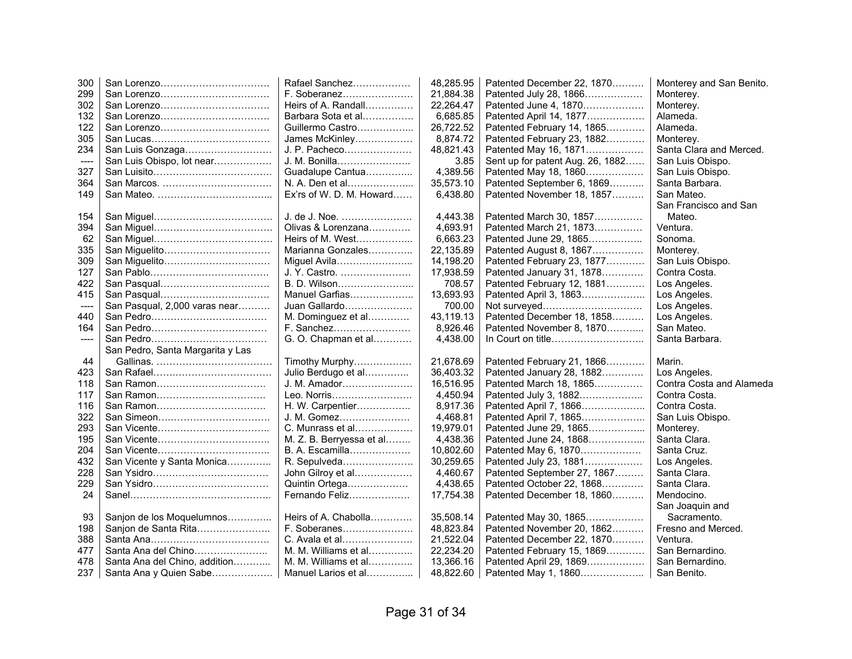| 300   |                                  | Rafael Sanchez           | 48,285.95 | Patented December 22, 1870       | Monterey and San Benito. |
|-------|----------------------------------|--------------------------|-----------|----------------------------------|--------------------------|
| 299   |                                  | F. Soberanez             | 21,884.38 | Patented July 28, 1866           | Monterey.                |
| 302   |                                  | Heirs of A. Randall      | 22,264.47 | Patented June 4, 1870            | Monterey.                |
| 132   |                                  | Barbara Sota et al       | 6,685.85  | Patented April 14, 1877          | Alameda.                 |
| 122   |                                  | Guillermo Castro         | 26,722.52 | Patented February 14, 1865       | Alameda.                 |
| 305   |                                  | James McKinley           | 8,874.72  | Patented February 23, 1882       | Monterey.                |
| 234   | San Luis Gonzaga                 | J. P. Pacheco            | 48,821.43 | Patented May 16, 1871            | Santa Clara and Merced.  |
|       | San Luis Obispo, lot near        | J. M. Bonilla            | 3.85      | Sent up for patent Aug. 26, 1882 | San Luis Obispo.         |
| 327   |                                  | Guadalupe Cantua         | 4,389.56  | Patented May 18, 1860            | San Luis Obispo.         |
| 364   |                                  | N. A. Den et al          | 35,573.10 | Patented September 6, 1869       | Santa Barbara.           |
| 149   |                                  | Ex'rs of W. D. M. Howard | 6,438.80  | Patented November 18, 1857       | San Mateo.               |
|       |                                  |                          |           |                                  | San Francisco and San    |
| 154   |                                  | J. de J. Noe.            | 4,443.38  | Patented March 30, 1857          | Mateo.                   |
| 394   |                                  | Olivas & Lorenzana       | 4,693.91  | Patented March 21, 1873          | Ventura.                 |
| 62    |                                  | Heirs of M. West         | 6,663.23  | Patented June 29, 1865           | Sonoma.                  |
| 335   | San Miguelito                    | Marianna Gonzales        | 22,135.89 | Patented August 8, 1867          | Monterey.                |
| 309   | San Miguelito                    | Miguel Avila             | 14,198.20 | Patented February 23, 1877       | San Luis Obispo.         |
| 127   |                                  | J. Y. Castro.            | 17,938.59 | Patented January 31, 1878        | Contra Costa.            |
| 422   |                                  | B. D. Wilson             | 708.57    | Patented February 12, 1881       | Los Angeles.             |
| 415   |                                  | Manuel Garfias           | 13,693.93 | Patented April 3, 1863           | Los Angeles.             |
| ----  | San Pasqual, 2,000 varas near    | Juan Gallardo            | 700.00    | Not surveyed                     | Los Angeles.             |
| 440   |                                  | M. Dominguez et al       | 43,119.13 | Patented December 18, 1858       | Los Angeles.             |
| 164   |                                  | F. Sanchez               | 8,926.46  | Patented November 8, 1870        | San Mateo.               |
| $---$ |                                  | G. O. Chapman et al      | 4,438.00  |                                  | Santa Barbara.           |
|       | San Pedro, Santa Margarita y Las |                          |           |                                  |                          |
| 44    |                                  | Timothy Murphy           | 21,678.69 | Patented February 21, 1866       | Marin.                   |
| 423   |                                  | Julio Berdugo et al      | 36,403.32 | Patented January 28, 1882        | Los Angeles.             |
| 118   | San Ramon                        | J. M. Amador             | 16,516.95 | Patented March 18, 1865          | Contra Costa and Alameda |
| 117   | San Ramon                        | Leo. Norris              | 4,450.94  | Patented July 3, 1882            | Contra Costa.            |
| 116   | San Ramon                        | H. W. Carpentier         | 8,917.36  | Patented April 7, 1866           | Contra Costa.            |
| 322   |                                  | J. M. Gomez              | 4,468.81  | Patented April 7, 1865           | San Luis Obispo.         |
| 293   |                                  | C. Munrass et al         | 19,979.01 | Patented June 29, 1865           | Monterey.                |
| 195   |                                  | M. Z. B. Berryessa et al | 4,438.36  | Patented June 24, 1868           | Santa Clara.             |
| 204   |                                  | B. A. Escamilla          | 10,802.60 | Patented May 6, 1870             | Santa Cruz.              |
| 432   | San Vicente y Santa Monica       | R. Sepulveda             | 30,259.65 | Patented July 23, 1881           | Los Angeles.             |
| 228   |                                  | John Gilroy et al        | 4,460.67  | Patented September 27, 1867      | Santa Clara.             |
| 229   |                                  | Quintin Ortega           | 4,438.65  | Patented October 22, 1868        | Santa Clara.             |
| 24    |                                  | Fernando Feliz           | 17,754.38 | Patented December 18, 1860       | Mendocino.               |
|       |                                  |                          |           |                                  | San Joaquin and          |
| 93    | Sanjon de los Moquelumnos        | Heirs of A. Chabolla     | 35,508.14 | Patented May 30, 1865            | Sacramento.              |
| 198   | Sanjon de Santa Rita             | F. Soberanes             | 48,823.84 | Patented November 20, 1862       | Fresno and Merced.       |
| 388   |                                  | C. Avala et al           | 21,522.04 | Patented December 22, 1870       | Ventura.                 |
| 477   | Santa Ana del Chino              | $M.$ M. Williams et al   | 22,234.20 | Patented February 15, 1869       | San Bernardino.          |
| 478   | Santa Ana del Chino, addition    | M. M. Williams et al     | 13,366.16 | Patented April 29, 1869          | San Bernardino.          |
| 237   | Santa Ana y Quien Sabe           | Manuel Larios et al      | 48,822.60 | Patented May 1, 1860             | San Benito.              |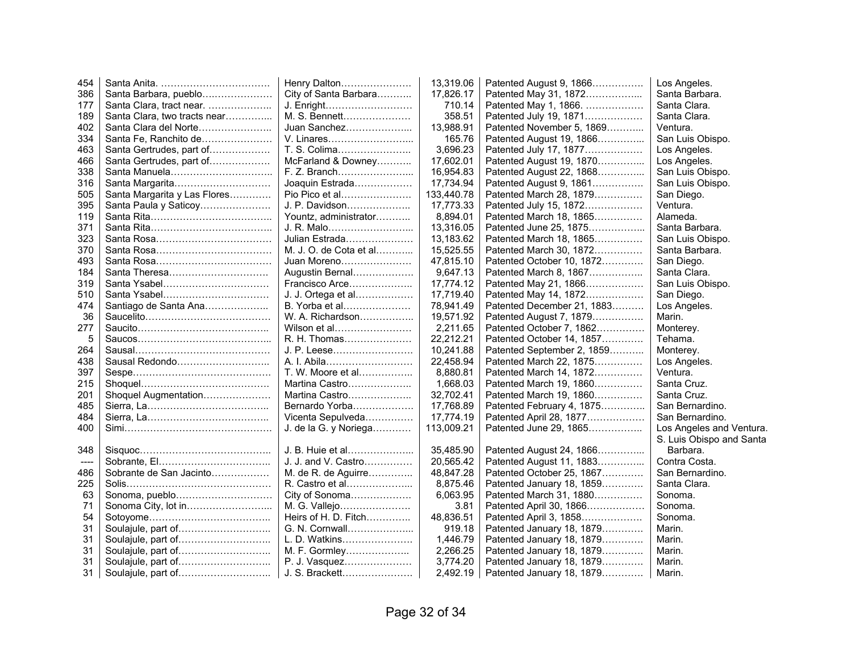| 454   |                              | Henry Dalton           | 13,319.06  | Patented August 9, 1866    | Los Angeles.             |
|-------|------------------------------|------------------------|------------|----------------------------|--------------------------|
| 386   | Santa Barbara, pueblo        | City of Santa Barbara  | 17,826.17  | Patented May 31, 1872      | Santa Barbara.           |
| 177   | Santa Clara, tract near.     | J. Enright             | 710.14     | Patented May 1, 1866.      | Santa Clara.             |
| 189   | Santa Clara, two tracts near | M. S. Bennett          | 358.51     | Patented July 19, 1871     | Santa Clara.             |
| 402   | Santa Clara del Norte        | Juan Sanchez           | 13,988.91  | Patented November 5, 1869  | Ventura.                 |
| 334   | Santa Fe, Ranchito de        | V. Linares             | 165.76     | Patented August 19, 1866   | San Luis Obispo.         |
| 463   | Santa Gertrudes, part of     | T. S. Colima           | 3,696.23   | Patented July 17, 1877     | Los Angeles.             |
| 466   | Santa Gertrudes, part of     | McFarland & Downey     | 17,602.01  | Patented August 19, 1870   | Los Angeles.             |
| 338   | Santa Manuela                | F. Z. Branch           | 16,954.83  | Patented August 22, 1868   | San Luis Obispo.         |
| 316   | Santa Margarita              | Joaquin Estrada        | 17.734.94  | Patented August 9, 1861    | San Luis Obispo.         |
| 505   | Santa Margarita y Las Flores | Pio Pico et al         | 133,440.78 | Patented March 28, 1879    | San Diego.               |
| 395   | Santa Paula y Saticoy        | J. P. Davidson         | 17,773.33  | Patented July 15, 1872     | Ventura.                 |
| 119   |                              | Yountz, administrator  | 8,894.01   | Patented March 18, 1865    | Alameda.                 |
| 371   |                              | J. R. Malo             | 13,316.05  | Patented June 25, 1875     | Santa Barbara.           |
| 323   |                              | Julian Estrada         | 13,183.62  | Patented March 18, 1865    | San Luis Obispo.         |
| 370   |                              | M. J. O. de Cota et al | 15,525.55  | Patented March 30, 1872    | Santa Barbara.           |
| 493   |                              | Juan Moreno            | 47.815.10  | Patented October 10, 1872  | San Diego.               |
| 184   | Santa Theresa                | Augustin Bernal        | 9,647.13   | Patented March 8, 1867     | Santa Clara.             |
| 319   | Santa Ysabel                 | Francisco Arce         | 17,774.12  | Patented May 21, 1866      | San Luis Obispo.         |
| 510   | Santa Ysabel                 | J. J. Ortega et al     | 17.719.40  | Patented May 14, 1872      | San Diego.               |
| 474   | Santiago de Santa Ana        | B. Yorba et al         | 78,941.49  | Patented December 21, 1883 | Los Angeles.             |
| 36    |                              | W. A. Richardson       | 19,571.92  | Patented August 7, 1879    | Marin.                   |
| 277   |                              | Wilson et al           | 2,211.65   | Patented October 7, 1862   | Monterey.                |
| 5     |                              | R. H. Thomas           | 22,212.21  | Patented October 14, 1857  | Tehama.                  |
| 264   |                              | J. P. Leese            | 10,241.88  | Patented September 2, 1859 | Monterey.                |
| 438   | Sausal Redondo               | A. I. Abila            | 22,458.94  | Patented March 22, 1875    | Los Angeles.             |
| 397   |                              | T. W. Moore et al      | 8,880.81   | Patented March 14, 1872    | Ventura.                 |
| 215   |                              | Martina Castro         | 1,668.03   | Patented March 19, 1860    | Santa Cruz.              |
| 201   | Shoquel Augmentation         | Martina Castro         | 32,702.41  | Patented March 19, 1860    | Santa Cruz.              |
| 485   |                              | Bernardo Yorba         | 17,768.89  | Patented February 4, 1875  | San Bernardino.          |
| 484   |                              | Vicenta Sepulveda      | 17,774.19  | Patented April 28, 1877    | San Bernardino.          |
| 400   |                              | J. de la G. y Noriega  | 113,009.21 | Patented June 29, 1865     | Los Angeles and Ventura. |
|       |                              |                        |            |                            | S. Luis Obispo and Santa |
| 348   |                              | J. B. Huie et al       | 35,485.90  | Patented August 24, 1866   | Barbara.                 |
| $---$ |                              | J. J. and V. Castro    | 20.565.42  | Patented August 11, 1883   | Contra Costa.            |
| 486   | Sobrante de San Jacinto      | M. de R. de Aguirre    | 48,847.28  | Patented October 25, 1867  | San Bernardino.          |
| 225   |                              | R. Castro et al        | 8.875.46   | Patented January 18, 1859  | Santa Clara.             |
| 63    | Sonoma, pueblo               | City of Sonoma         | 6,063.95   | Patented March 31, 1880    | Sonoma.                  |
| 71    |                              | M. G. Vallejo          | 3.81       | Patented April 30, 1866    | Sonoma.                  |
| 54    |                              | Heirs of H. D. Fitch   | 48,836.51  | Patented April 3, 1858     | Sonoma.                  |
| 31    |                              | G. N. Cornwall         | 919.18     | Patented January 18, 1879  | Marin.                   |
| 31    |                              | L. D. Watkins          | 1,446.79   | Patented January 18, 1879  | Marin.                   |
| 31    |                              | M. F. Gormley          | 2,266.25   | Patented January 18, 1879  | Marin.                   |
| 31    |                              | P. J. Vasquez          | 3,774.20   | Patented January 18, 1879  | Marin.                   |
| 31    | Soulajule, part of           | J. S. Brackett         | 2,492.19   | Patented January 18, 1879  | Marin.                   |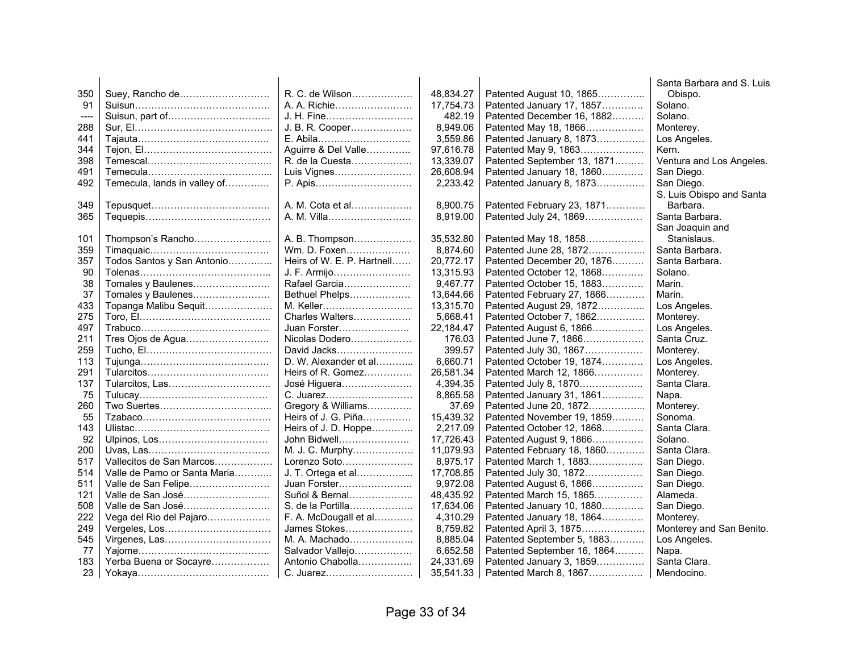|      |                              |                            |           |                             | Santa Barbara and S. Luis |
|------|------------------------------|----------------------------|-----------|-----------------------------|---------------------------|
| 350  | Suey, Rancho de              | R. C. de Wilson            | 48.834.27 | Patented August 10, 1865    | Obispo.                   |
| 91   |                              | A. A. Richie               | 17,754.73 | Patented January 17, 1857   | Solano.                   |
| ---- |                              | J. H. Fine                 | 482.19    | Patented December 16, 1882  | Solano.                   |
| 288  |                              | J. B. R. Cooper            | 8,949.06  | Patented May 18, 1866       | Monterey.                 |
| 441  |                              | E. Abila                   | 3,559.86  | Patented January 8, 1873    | Los Angeles.              |
| 344  |                              | Aguirre & Del Valle        | 97,616.78 | Patented May 9, 1863        | Kern.                     |
| 398  |                              | R. de la Cuesta            | 13,339.07 | Patented September 13, 1871 | Ventura and Los Angeles.  |
| 491  |                              | Luis Vignes                | 26,608.94 | Patented January 18, 1860   | San Diego.                |
| 492  | Temecula, lands in valley of | P. Apis                    | 2,233.42  | Patented January 8, 1873    | San Diego.                |
|      |                              |                            |           |                             | S. Luis Obispo and Santa  |
| 349  |                              | A. M. Cota et al           | 8,900.75  | Patented February 23, 1871  | Barbara.                  |
| 365  |                              | A. M. Villa                | 8,919.00  | Patented July 24, 1869      | Santa Barbara.            |
|      |                              |                            |           |                             | San Joaquin and           |
| 101  | Thompson's Rancho            | A. B. Thompson             | 35,532.80 | Patented May 18, 1858       | Stanislaus.               |
| 359  |                              | Wm. D. Foxen               | 8,874.60  | Patented June 28, 1872      | Santa Barbara.            |
| 357  | Todos Santos y San Antonio   | Heirs of W. E. P. Hartnell | 20,772.17 | Patented December 20, 1876  | Santa Barbara.            |
| 90   |                              | J. F. Armijo               | 13,315.93 | Patented October 12, 1868   | Solano.                   |
| 38   | Tomales y Baulenes           | Rafael Garcia              | 9,467.77  | Patented October 15, 1883   | Marin.                    |
| 37   | Tomales y Baulenes           | Bethuel Phelps             | 13.644.66 | Patented February 27, 1866  | Marin.                    |
| 433  | Topanga Malibu Sequit        | M. Keller                  | 13,315.70 | Patented August 29, 1872    | Los Angeles.              |
| 275  |                              | Charles Walters            | 5.668.41  | Patented October 7, 1862    | Monterey.                 |
| 497  |                              | Juan Forster               | 22,184.47 | Patented August 6, 1866     | Los Angeles.              |
| 211  |                              | Nicolas Dodero             | 176.03    | Patented June 7, 1866       | Santa Cruz.               |
| 259  |                              | David Jacks                | 399.57    | Patented July 30, 1867      | Monterey.                 |
| 113  |                              | D. W. Alexander et al      | 6,660.71  | Patented October 19, 1874   | Los Angeles.              |
| 291  |                              | Heirs of R. Gomez          | 26,581.34 | Patented March 12, 1866     | Monterey.                 |
| 137  | Tularcitos, Las              | José Higuera               | 4,394.35  | Patented July 8, 1870       | Santa Clara.              |
| 75   |                              | C. Juarez                  | 8,865.58  | Patented January 31, 1861   | Napa.                     |
| 260  |                              | Gregory & Williams         | 37.69     | Patented June 20, 1872      | Monterey.                 |
| 55   |                              | Heirs of J. G. Piña        | 15,439.32 | Patented November 19, 1859  | Sonoma.                   |
| 143  |                              | Heirs of J. D. Hoppe       | 2,217.09  | Patented October 12, 1868   | Santa Clara.              |
| 92   |                              | John Bidwell               | 17,726.43 | Patented August 9, 1866     | Solano.                   |
| 200  |                              | M. J. C. Murphy            | 11,079.93 | Patented February 18, 1860  | Santa Clara.              |
| 517  | Vallecitos de San Marcos     | Lorenzo Soto               | 8,975.17  | Patented March 1, 1883      | San Diego.                |
| 514  | Valle de Pamo or Santa Maria | J. T. Ortega et al         | 17,708.85 | Patented July 30, 1872      | San Diego.                |
| 511  | Valle de San Felipe          | Juan Forster               | 9,972.08  | Patented August 6, 1866     | San Diego.                |
| 121  | Valle de San José            | Suñol & Bernal             | 48,435.92 | Patented March 15, 1865     | Alameda.                  |
| 508  | Valle de San José            | S. de la Portilla          | 17,634.06 | Patented January 10, 1880   | San Diego.                |
| 222  | Vega del Rio del Pajaro      | F. A. McDougall et al      | 4,310.29  | Patented January 18, 1864   | Monterey.                 |
| 249  |                              | James Stokes               | 8,759.82  | Patented April 3, 1875      | Monterey and San Benito.  |
| 545  |                              | M. A. Machado              | 8,885.04  | Patented September 5, 1883  | Los Angeles.              |
| 77   |                              | Salvador Vallejo           | 6,652.58  | Patented September 16, 1864 | Napa.                     |
| 183  | Yerba Buena or Socayre       | Antonio Chabolla           | 24,331.69 | Patented January 3, 1859    | Santa Clara.              |
| 23   |                              | C. Juarez                  | 35,541.33 | Patented March 8, 1867      | Mendocino.                |
|      |                              |                            |           |                             |                           |